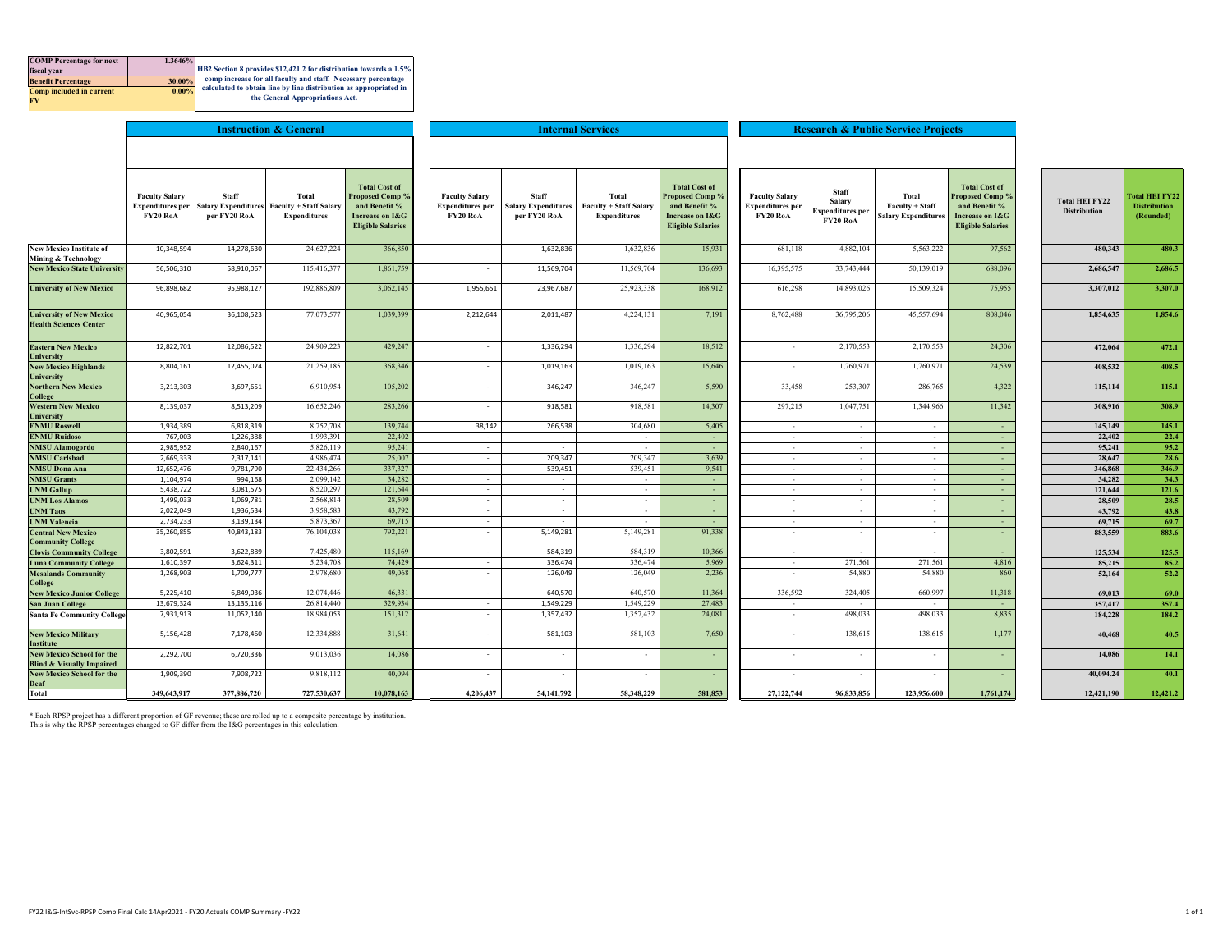| <b>COMP</b> Percentage for next | 1.3646%  |                                                                   |
|---------------------------------|----------|-------------------------------------------------------------------|
| fiscal vear                     |          | HB2 Section 8 provides \$12,421.2 for distribution towards a 1.5% |
| <b>Benefit Percentage</b>       | 30.00%   | comp increase for all faculty and staff. Necessary percentage     |
| <b>Comp included in current</b> | $0.00\%$ | calculated to obtain line by line distribution as appropriated in |
| <b>RV</b>                       |          | the General Appropriations Act.                                   |
|                                 |          |                                                                   |

|                                                                          |                                                                     |                              | <b>Instruction &amp; General</b>                                           |                                                                                                         |                                                              |                                                            | <b>Internal Services</b>                                      |                                                                                                                |                                                              |                                                        | <b>Research &amp; Public Service Projects</b>          |                                                                                                         |                                              |                                                    |
|--------------------------------------------------------------------------|---------------------------------------------------------------------|------------------------------|----------------------------------------------------------------------------|---------------------------------------------------------------------------------------------------------|--------------------------------------------------------------|------------------------------------------------------------|---------------------------------------------------------------|----------------------------------------------------------------------------------------------------------------|--------------------------------------------------------------|--------------------------------------------------------|--------------------------------------------------------|---------------------------------------------------------------------------------------------------------|----------------------------------------------|----------------------------------------------------|
|                                                                          |                                                                     |                              |                                                                            |                                                                                                         |                                                              |                                                            |                                                               |                                                                                                                |                                                              |                                                        |                                                        |                                                                                                         |                                              |                                                    |
|                                                                          | <b>Faculty Salary</b><br><b>Expenditures per</b><br><b>FY20 RoA</b> | <b>Staff</b><br>per FY20 RoA | Total<br>Salary Expenditures Faculty + Staff Salary<br><b>Expenditures</b> | <b>Total Cost of</b><br>Proposed Comp %<br>and Benefit %<br>Increase on I&G<br><b>Eligible Salaries</b> | <b>Faculty Salary</b><br><b>Expenditures</b> per<br>FY20 RoA | <b>Staff</b><br><b>Salary Expenditures</b><br>per FY20 RoA | Total<br><b>Faculty + Staff Salary</b><br><b>Expenditures</b> | <b>Total Cost of</b><br><b>Proposed Comp %</b><br>and Benefit %<br>Increase on I&G<br><b>Eligible Salaries</b> | <b>Faculty Salary</b><br><b>Expenditures per</b><br>FY20 RoA | Staff<br>Salary<br><b>Expenditures per</b><br>FY20 RoA | Total<br>Faculty + Staff<br><b>Salary Expenditures</b> | <b>Total Cost of</b><br>Proposed Comp %<br>and Benefit %<br>Increase on I&G<br><b>Eligible Salaries</b> | <b>Total HEI FY22</b><br><b>Distribution</b> | Total HEI FY22<br><b>Distribution</b><br>(Rounded) |
| <b>New Mexico Institute of</b><br><b>Mining &amp; Technology</b>         | 10,348,594                                                          | 14,278,630                   | 24,627,224                                                                 | 366,850                                                                                                 | $\sim$                                                       | 1,632,836                                                  | 1,632,836                                                     | 15,931                                                                                                         | 681,118                                                      | 4,882,104                                              | 5,563,222                                              | 97,562                                                                                                  | 480.343                                      | 480.3                                              |
| <b>New Mexico State University</b>                                       | 56,506,310                                                          | 58,910,067                   | 115,416,377                                                                | 1,861,759                                                                                               | $\sim$                                                       | 11,569,704                                                 | 11,569,704                                                    | 136,693                                                                                                        | 16,395,575                                                   | 33,743,444                                             | 50,139,019                                             | 688,096                                                                                                 | 2,686,547                                    | 2.686.5                                            |
| <b>University of New Mexico</b>                                          | 96,898,682                                                          | 95,988,127                   | 192,886,809                                                                | 3,062,145                                                                                               | 1,955,651                                                    | 23,967,687                                                 | 25,923,338                                                    | 168,912                                                                                                        | 616,298                                                      | 14,893,026                                             | 15,509,324                                             | 75,955                                                                                                  | 3,307,012                                    | 3,307.0                                            |
| <b>University of New Mexico</b><br><b>Health Sciences Center</b>         | 40,965,054                                                          | 36,108,523                   | 77,073,577                                                                 | 1,039,399                                                                                               | 2,212,644                                                    | 2,011,487                                                  | 4,224,131                                                     | 7,191                                                                                                          | 8,762,488                                                    | 36,795,206                                             | 45,557,694                                             | 808,046                                                                                                 | 1,854,635                                    | 1,854.6                                            |
| <b>Eastern New Mexico</b><br>University                                  | 12,822,701                                                          | 12,086,522                   | 24,909,223                                                                 | 429,247                                                                                                 | $\mathcal{L}$                                                | 1,336,294                                                  | 1,336,294                                                     | 18,512                                                                                                         | $\overline{\phantom{a}}$                                     | 2,170,553                                              | 2,170,553                                              | 24,306                                                                                                  | 472,064                                      | 472.1                                              |
| <b>New Mexico Highlands</b><br>University                                | 8,804,161                                                           | 12,455,024                   | 21,259,185                                                                 | 368,346                                                                                                 |                                                              | 1,019,163                                                  | 1,019,163                                                     | 15,646                                                                                                         | $\overline{\phantom{a}}$                                     | 1,760,971                                              | 1,760,971                                              | 24,539                                                                                                  | 408,532                                      | 408.5                                              |
| <b>Northern New Mexico</b><br>College                                    | 3,213,303                                                           | 3,697,651                    | 6,910,954                                                                  | 105,202                                                                                                 | $\sim$                                                       | 346,247                                                    | 346,247                                                       | 5,590                                                                                                          | 33,458                                                       | 253,307                                                | 286,765                                                | 4,322                                                                                                   | 115,114                                      | 115.1                                              |
| <b>Western New Mexico</b><br>University                                  | 8,139,037                                                           | 8,513,209                    | 16,652,246                                                                 | 283,266                                                                                                 | $\sim$                                                       | 918,581                                                    | 918,581                                                       | 14,307                                                                                                         | 297,215                                                      | 1,047,751                                              | 1,344,966                                              | 11,342                                                                                                  | 308,916                                      | 308.9                                              |
| <b>ENMU Roswell</b>                                                      | 1,934,389                                                           | 6,818,319                    | 8,752,708                                                                  | 139,744                                                                                                 | 38,142                                                       | 266,538                                                    | 304,680                                                       | 5,405                                                                                                          | $\sim$                                                       | $\sim$                                                 | $\sim$                                                 | <b>.</b>                                                                                                | 145,149                                      | 145.1                                              |
| <b>ENMU Ruidoso</b>                                                      | 767,003                                                             | 1,226,388                    | 1,993,391                                                                  | 22,402                                                                                                  | $\sim$                                                       | $\sim$                                                     | ٠.                                                            | $\sim$                                                                                                         | $\overline{\phantom{a}}$                                     | $\sim$                                                 | $\sim$                                                 | $\sim$                                                                                                  | 22,402                                       | 22.4                                               |
| <b>NMSU Alamogordo</b>                                                   | 2,985,952                                                           | 2,840,167                    | 5,826,119                                                                  | 95,241                                                                                                  | $\sim$                                                       | $\sim$                                                     | $\sim$                                                        | $\sim$                                                                                                         | $\sim$                                                       | $\sim$                                                 | $\sim$                                                 | $\sim$                                                                                                  | 95,241                                       | 95.2                                               |
| <b>NMSU Carlsbad</b>                                                     | 2,669,333                                                           | 2,317,141                    | 4,986,474                                                                  | 25,007                                                                                                  | $\sim$                                                       | 209,347                                                    | 209,347                                                       | 3,639                                                                                                          | $\sim$                                                       | $\sim$                                                 | $\sim$                                                 | $\sim$                                                                                                  | 28,647                                       | 28.6                                               |
| <b>NMSU Dona Ana</b>                                                     | 12,652,476                                                          | 9,781,790                    | 22,434,266                                                                 | 337,327                                                                                                 | $\sim$                                                       | 539,451                                                    | 539,451                                                       | 9,541                                                                                                          | $\overline{\phantom{a}}$                                     | $\sim$                                                 | $\sim$                                                 | $\sim$                                                                                                  | 346,868                                      | 346.9                                              |
| <b>NMSU Grants</b>                                                       | 1,104,974                                                           | 994,168                      | 2,099,142                                                                  | 34,282                                                                                                  | $\sim$                                                       | $\sim$                                                     | $\sim$                                                        | $\sim$                                                                                                         | $\sim$                                                       | $\sim$                                                 | $\sim$                                                 | $\sim$                                                                                                  | 34,282                                       | 34.3                                               |
| <b>UNM Gallup</b>                                                        | 5,438,722                                                           | 3,081,575                    | 8,520,297                                                                  | 121,644                                                                                                 | $\sim$                                                       | $\sim$                                                     | $\sim$                                                        | $\sim$                                                                                                         | $\sim$                                                       | $\sim$                                                 | $\sim$                                                 | $\sim$                                                                                                  | 121,644                                      | 121.6                                              |
| <b>UNM Los Alamos</b>                                                    | 1,499,033                                                           | 1,069,781                    | 2,568,814                                                                  | 28,509                                                                                                  | $\sim$                                                       | $\sim$                                                     | $\sim$                                                        | $\sim$                                                                                                         | $\sim$                                                       | $\sim$                                                 | $\sim$                                                 | $\sim$                                                                                                  | 28,509                                       | 28.5                                               |
| <b>UNM Taos</b>                                                          | 2,022,049                                                           | 1,936,534                    | 3,958,583                                                                  | 43,792                                                                                                  | $\sim$                                                       | $\sim$                                                     | $\sim$                                                        | $\sim$                                                                                                         | $\overline{\phantom{a}}$                                     | $\sim$                                                 | $\sim$                                                 | $\sim$                                                                                                  | 43,792                                       | 43.8                                               |
| <b>UNM Valencia</b>                                                      | 2,734,233                                                           | 3,139,134                    | 5,873,367                                                                  | 69,715                                                                                                  | $\sim$<br>$\mathcal{L}$                                      |                                                            | $\sim$                                                        | $\sim$                                                                                                         | $\overline{\phantom{a}}$                                     | $\sim$                                                 | $\sim$                                                 | $\sim$<br>a.                                                                                            | 69,715                                       | 69.7                                               |
| <b>Central New Mexico</b><br><b>Community College</b>                    | 35,260,855                                                          | 40,843,183                   | 76,104,038                                                                 | 792,221                                                                                                 |                                                              | 5,149,281                                                  | 5,149,281                                                     | 91,338                                                                                                         | $\epsilon$                                                   | $\sim$                                                 |                                                        |                                                                                                         | 883,559                                      | 883.6                                              |
| <b>Clovis Community College</b>                                          | 3,802,591                                                           | 3,622,889                    | 7,425,480                                                                  | 115,169                                                                                                 | $\sim$                                                       | 584,319                                                    | 584,319                                                       | 10,366                                                                                                         | $\sim$                                                       |                                                        |                                                        |                                                                                                         | 125,534                                      | 125.5                                              |
| <b>Luna Community College</b>                                            | 1,610,397                                                           | 3,624,311                    | 5,234,708                                                                  | 74,429                                                                                                  | $\sim$                                                       | 336,474                                                    | 336,474                                                       | 5,969                                                                                                          | $\sim$                                                       | 271,561                                                | 271,561                                                | 4,816                                                                                                   | 85,215                                       | 85.2                                               |
| <b>Mesalands Community</b><br>College                                    | 1,268,903                                                           | 1,709,777                    | 2,978,680                                                                  | 49,068                                                                                                  | $\overline{\phantom{a}}$                                     | 126,049                                                    | 126,049                                                       | 2,236                                                                                                          | $\overline{\phantom{a}}$                                     | 54,880                                                 | 54,880                                                 | 860                                                                                                     | 52,164                                       | 52.2                                               |
| <b>New Mexico Junior College</b>                                         | 5,225,410                                                           | 6,849,036                    | 12,074,446                                                                 | 46.331                                                                                                  | $\sim$                                                       | 640,570                                                    | 640,570                                                       | 11,364                                                                                                         | 336,592                                                      | 324,405                                                | 660,997                                                | 11,318                                                                                                  | 69,013                                       | 69.0                                               |
| <b>San Juan College</b>                                                  | 13,679,324                                                          | 13, 135, 116                 | 26,814,440                                                                 | 329,934                                                                                                 | $\sim$                                                       | 1,549,229                                                  | 1,549,229                                                     | 27,483                                                                                                         | $\sim$                                                       | $\sim$                                                 | $\sim$                                                 | $\sim$                                                                                                  | 357,417                                      | 357.4                                              |
| <b>Santa Fe Community College</b>                                        | 7,931,913                                                           | 11,052,140                   | 18,984,053                                                                 | 151,312                                                                                                 | $\sim$                                                       | 1,357,432                                                  | 1,357,432                                                     | 24,081                                                                                                         | $\overline{\phantom{a}}$                                     | 498,033                                                | 498,033                                                | 8,835                                                                                                   | 184,228                                      | 184.2                                              |
| <b>New Mexico Military</b><br><b>Institute</b>                           | 5,156,428                                                           | 7,178,460                    | 12,334,888                                                                 | 31,641                                                                                                  | $\bar{\phantom{a}}$                                          | 581,103                                                    | 581,103                                                       | 7,650                                                                                                          | $\overline{\phantom{a}}$                                     | 138,615                                                | 138,615                                                | 1,177                                                                                                   | 40,468                                       | 40.5                                               |
| <b>New Mexico School for the</b><br><b>Blind &amp; Visually Impaired</b> | 2,292,700                                                           | 6,720,336                    | 9,013,036                                                                  | 14,086                                                                                                  | $\overline{\phantom{a}}$                                     | $\sim$                                                     | $\sim$                                                        | $\sim$                                                                                                         | $\overline{\phantom{a}}$                                     | $\sim$                                                 |                                                        | $\sim$                                                                                                  | 14,086                                       | 14.1                                               |
| <b>New Mexico School for the</b><br>Deaf                                 | 1,909,390                                                           | 7,908,722                    | 9,818,112                                                                  | 40,094                                                                                                  | ٠                                                            |                                                            | ٠                                                             | $\sim$                                                                                                         | ٠                                                            |                                                        |                                                        | $\sim$                                                                                                  | 40.094.24                                    | 40.1                                               |
| Total                                                                    | 349,643,917                                                         | 377,886,720                  | 727,530,637                                                                | 10.078.163                                                                                              | 4.206,437                                                    | 54,141,792                                                 | 58.348.229                                                    | 581.853                                                                                                        | 27,122,744                                                   | 96,833,856                                             | 123,956,600                                            | 1.761.174                                                                                               | 12,421,190                                   | 12,421.2                                           |

\* Each RPSP project has a different proportion of GF revenue; these are rolled up to a composite percentage by institution. This is why the RPSP percentages charged to GF differ from the I&G percentages in this calculation.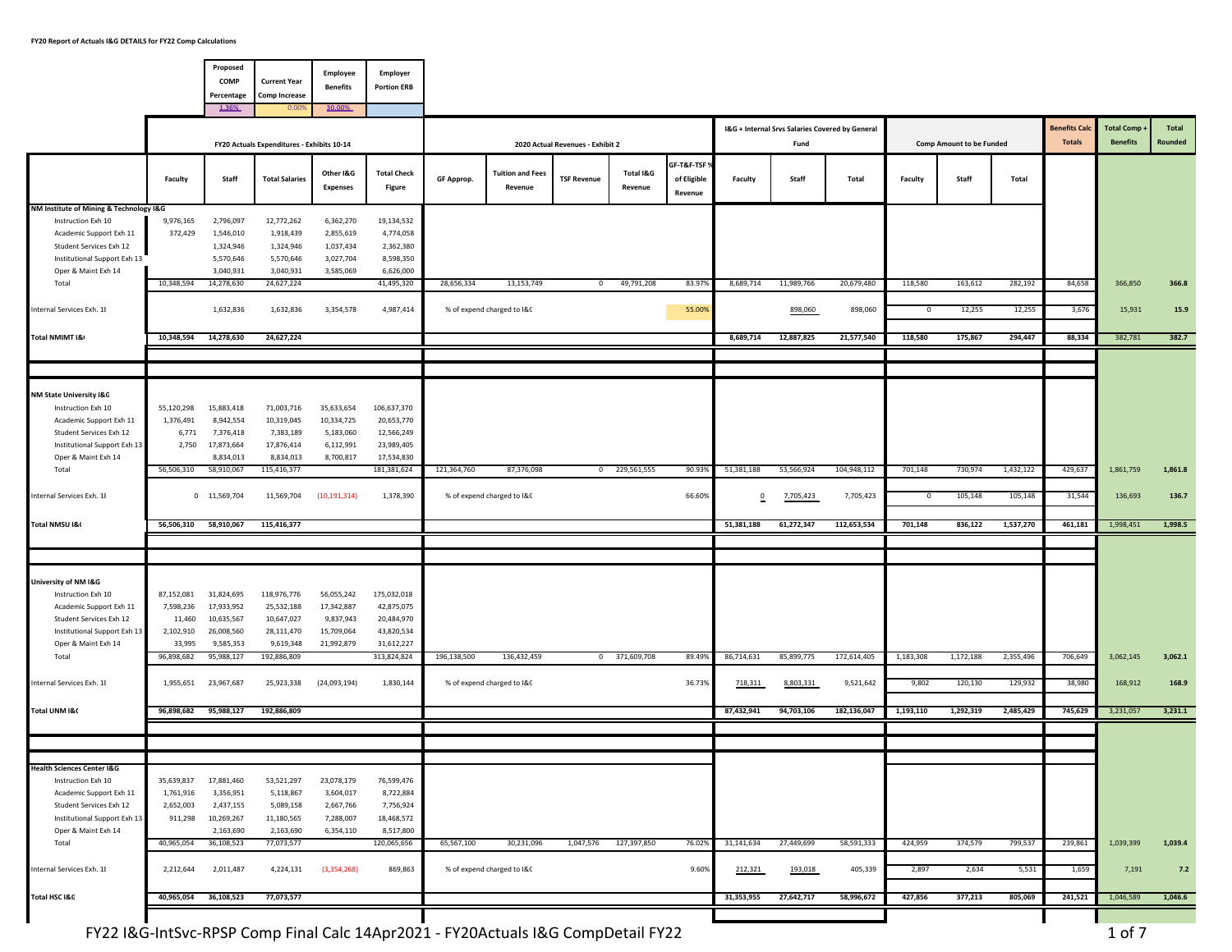|                                                                                                                                                                            |                                                                        | Proposed<br>COMP<br>Percentage<br>1.36%                                         | <b>Current Year</b><br><b>Comp Increase</b><br>0.00                               | Employee<br><b>Benefits</b><br>30.00%                             | Employer<br><b>Portion ERB</b>                                                     |             |                                          |                                  |                      |                                        |                          |                                                         |                          |                       |                                 |                      |                                       |                                      |                  |
|----------------------------------------------------------------------------------------------------------------------------------------------------------------------------|------------------------------------------------------------------------|---------------------------------------------------------------------------------|-----------------------------------------------------------------------------------|-------------------------------------------------------------------|------------------------------------------------------------------------------------|-------------|------------------------------------------|----------------------------------|----------------------|----------------------------------------|--------------------------|---------------------------------------------------------|--------------------------|-----------------------|---------------------------------|----------------------|---------------------------------------|--------------------------------------|------------------|
|                                                                                                                                                                            |                                                                        |                                                                                 | FY20 Actuals Expenditures - Exhibits 10-14                                        |                                                                   |                                                                                    |             |                                          | 2020 Actual Revenues - Exhibit 2 |                      |                                        |                          | I&G + Internal Srvs Salaries Covered by General<br>Fund |                          |                       | <b>Comp Amount to be Funded</b> |                      | <b>Benefits Cald</b><br><b>Totals</b> | <b>Total Comp</b><br><b>Benefits</b> | Total<br>Rounded |
|                                                                                                                                                                            | Faculty                                                                | Staff                                                                           | <b>Total Salaries</b>                                                             | Other I&G<br><b>Expenses</b>                                      | <b>Total Check</b><br>Figure                                                       | GF Approp.  | <b>Tuition and Fees</b><br>Revenue       | <b>TSF Revenue</b>               | Total I&G<br>Revenue | GF-T&F-TSF 9<br>of Eligible<br>Revenue | Faculty                  | Staff                                                   | Total                    | Faculty               | Staff                           | Total                |                                       |                                      |                  |
| NM Institute of Mining & Technology I&G<br>Instruction Exh 10<br>Academic Support Exh 11<br>Student Services Exh 12<br>Institutional Support Exh 13<br>Oper & Maint Exh 14 | 9,976,165<br>372,429                                                   | 2,796,097<br>1,546,010<br>1,324,946<br>5,570,646<br>3,040,931                   | 12,772,262<br>1,918,439<br>1,324,946<br>5,570,646<br>3,040,931                    | 6,362,270<br>2,855,619<br>1,037,434<br>3,027,704<br>3,585,069     | 19,134,532<br>4,774,058<br>2,362,380<br>8,598,350<br>6,626,000                     |             |                                          |                                  |                      |                                        |                          |                                                         |                          |                       |                                 |                      |                                       |                                      |                  |
| Total<br>nternal Services Exh. 18                                                                                                                                          | 10,348,594                                                             | 14,278,630<br>1,632,836                                                         | 24,627,224<br>1,632,836                                                           | 3,354,578                                                         | 41,495,320<br>4,987,414                                                            | 28,656,334  | 13,153,749<br>% of expend charged to I&C | $\mathbf{0}$                     | 49,791,208           | 83.979<br>55.00%                       | 8,689,714                | 11,989,766<br>898,060                                   | 20,679,480<br>898,060    | 118,580<br>0          | 163,612<br>12,255               | 282,192<br>12,255    | 84,658<br>3,676                       | 366,850<br>15,931                    | 366.8<br>15.9    |
| Total NMIMT I&                                                                                                                                                             | 10,348,594                                                             | 14,278,630                                                                      | 24,627,224                                                                        |                                                                   |                                                                                    |             |                                          |                                  |                      |                                        | 8,689,714                | 12,887,825                                              | 21,577,540               | 118,580               | 175,867                         | 294,447              | 88,334                                | 382,781                              | 382.7            |
|                                                                                                                                                                            |                                                                        |                                                                                 |                                                                                   |                                                                   |                                                                                    |             |                                          |                                  |                      |                                        |                          |                                                         |                          |                       |                                 |                      |                                       |                                      |                  |
| NM State University I&C<br>Instruction Exh 10<br>Academic Support Exh 11<br>Student Services Exh 12<br>Institutional Support Exh 13<br>Oper & Maint Exh 14                 | 55,120,298<br>1,376,491<br>6,771<br>2,750                              | 15,883,418<br>8,942,554<br>7,376,418<br>17,873,664<br>8,834,013                 | 71,003,716<br>10,319,045<br>7,383,189<br>17,876,414<br>8,834,013                  | 35,633,654<br>10,334,725<br>5,183,060<br>6,112,991<br>8,700,817   | 106,637,370<br>20,653,770<br>12,566,249<br>23,989,405<br>17,534,830                |             |                                          |                                  |                      |                                        |                          |                                                         |                          |                       |                                 |                      |                                       |                                      |                  |
| Total<br>nternal Services Exh. 18                                                                                                                                          | 56,506,310                                                             | 58,910,067<br>0 11,569,704                                                      | 115,416,377<br>11,569,704                                                         | (10, 191, 314)                                                    | 181,381,624<br>1,378,390                                                           | 121,364,760 | 87,376,098<br>% of expend charged to I&C |                                  | 0 229,561,555        | 90.939<br>66.60%                       | 51,381,188<br>$^{\circ}$ | 53,566,924<br>7,705,423                                 | 104,948,112<br>7,705,423 | 701,148<br>$^{\circ}$ | 730,974<br>105,148              | 1,432,122<br>105,148 | 429,637<br>31,544                     | 1,861,759<br>136,693                 | 1,861.8<br>136.7 |
| Total NMSU I&                                                                                                                                                              | 56,506,310 58,910,067                                                  |                                                                                 | 115,416,377                                                                       |                                                                   |                                                                                    |             |                                          |                                  |                      |                                        | 51,381,188               | 61,272,347                                              | 112,653,534              | 701,148               | 836,122                         | 1,537,270            | 461,181                               | 1,998,451                            | 1,998.5          |
|                                                                                                                                                                            |                                                                        |                                                                                 |                                                                                   |                                                                   |                                                                                    |             |                                          |                                  |                      |                                        |                          |                                                         |                          |                       |                                 |                      |                                       |                                      |                  |
| University of NM I&G<br>Instruction Exh 10<br>Academic Support Exh 11<br>Student Services Exh 12<br>Institutional Support Exh 13<br>Oper & Maint Exh 14<br>Total           | 87,152,081<br>7,598,236<br>11,460<br>2,102,910<br>33,995<br>96,898,682 | 31,824,695<br>17,933,952<br>10,635,567<br>26,008,560<br>9,585,353<br>95,988,127 | 118,976,776<br>25,532,188<br>10,647,027<br>28,111,470<br>9,619,348<br>192,886,809 | 56,055,242<br>17,342,887<br>9,837,943<br>15,709,064<br>21,992,879 | 175,032,018<br>42,875,075<br>20,484,970<br>43,820,534<br>31,612,227<br>313,824,824 | 196,138,500 | 136,432,459                              |                                  | 0 371,609,708        | 89.499                                 | 86,714,631               | 85,899,775                                              | 172,614,405              | 1,183,308             | 1,172,188                       | 2,355,496            | 706,649                               | 3,062,145                            | 3,062.1          |
| Internal Services Exh. 18                                                                                                                                                  | 1,955,651                                                              | 23,967,687                                                                      | 25,923,338                                                                        | (24,093,194)                                                      | 1,830,144                                                                          |             | % of expend charged to I&C               |                                  |                      | 36.73%                                 | 718,311                  | 8,803,331                                               | 9,521,642                | 9,802                 | 120,130                         | 129,932              | 38,980                                | 168,912                              | 168.9            |
| Total UNM I&C                                                                                                                                                              |                                                                        | 96,898,682 95,988,127                                                           | 192,886,809                                                                       |                                                                   |                                                                                    |             |                                          |                                  |                      |                                        | 87,432,941               | 94,703,106                                              | 182,136,047              | 1,193,110             | 1,292,319                       | 2,485,429            | 745,629                               | 3,231,057                            | 3,231.1          |
|                                                                                                                                                                            |                                                                        |                                                                                 |                                                                                   |                                                                   |                                                                                    |             |                                          |                                  |                      |                                        |                          |                                                         |                          |                       |                                 |                      |                                       |                                      |                  |
| Health Sciences Center I&G<br>Instruction Exh 10<br>Academic Support Exh 11<br>Student Services Exh 12<br>Institutional Support Exh 13<br>Oper & Maint Exh 14              | 35,639,837<br>1,761,916<br>2,652,003<br>911,298                        | 17,881,460<br>3,356,951<br>2,437,155<br>10,269,267<br>2,163,690                 | 53,521,297<br>5,118,867<br>5,089,158<br>11,180,565<br>2,163,690                   | 23,078,179<br>3,604,017<br>2,667,766<br>7,288,007<br>6,354,110    | 76,599,476<br>8,722,884<br>7,756,924<br>18,468,572<br>8,517,800                    |             |                                          |                                  |                      |                                        |                          |                                                         |                          |                       |                                 |                      |                                       |                                      |                  |
| Total<br>nternal Services Exh. 18                                                                                                                                          | 40,965,054<br>2,212,644                                                | 36,108,523<br>2,011,487                                                         | 77,073,577<br>4,224,131                                                           | (3,354,268)                                                       | 120,065,656<br>869,863                                                             | 65,567,100  | 30,231,096<br>% of expend charged to I&C | 1,047,576                        | 127,397,850          | 76.02%<br>9.60%                        | 31,141,634<br>212,321    | 27,449,699<br>193,018                                   | 58,591,333<br>405,339    | 424,959<br>2,897      | 374,579<br>2,634                | 799,537<br>5,531     | 239,861<br>1,659                      | 1,039,399<br>7,191                   | 1,039.4<br>7.2   |
| Total HSC I&G                                                                                                                                                              | 40,965,054 36,108,523                                                  |                                                                                 | 77,073,577                                                                        |                                                                   |                                                                                    |             |                                          |                                  |                      |                                        | 31,353,955               | 27,642,717                                              | 58,996,672               | 427,856               | 377,213                         | 805,069              | 241,521                               | 1,046,589                            | 1,046.6          |
|                                                                                                                                                                            |                                                                        |                                                                                 |                                                                                   |                                                                   |                                                                                    |             |                                          |                                  |                      |                                        |                          |                                                         |                          |                       |                                 |                      |                                       |                                      |                  |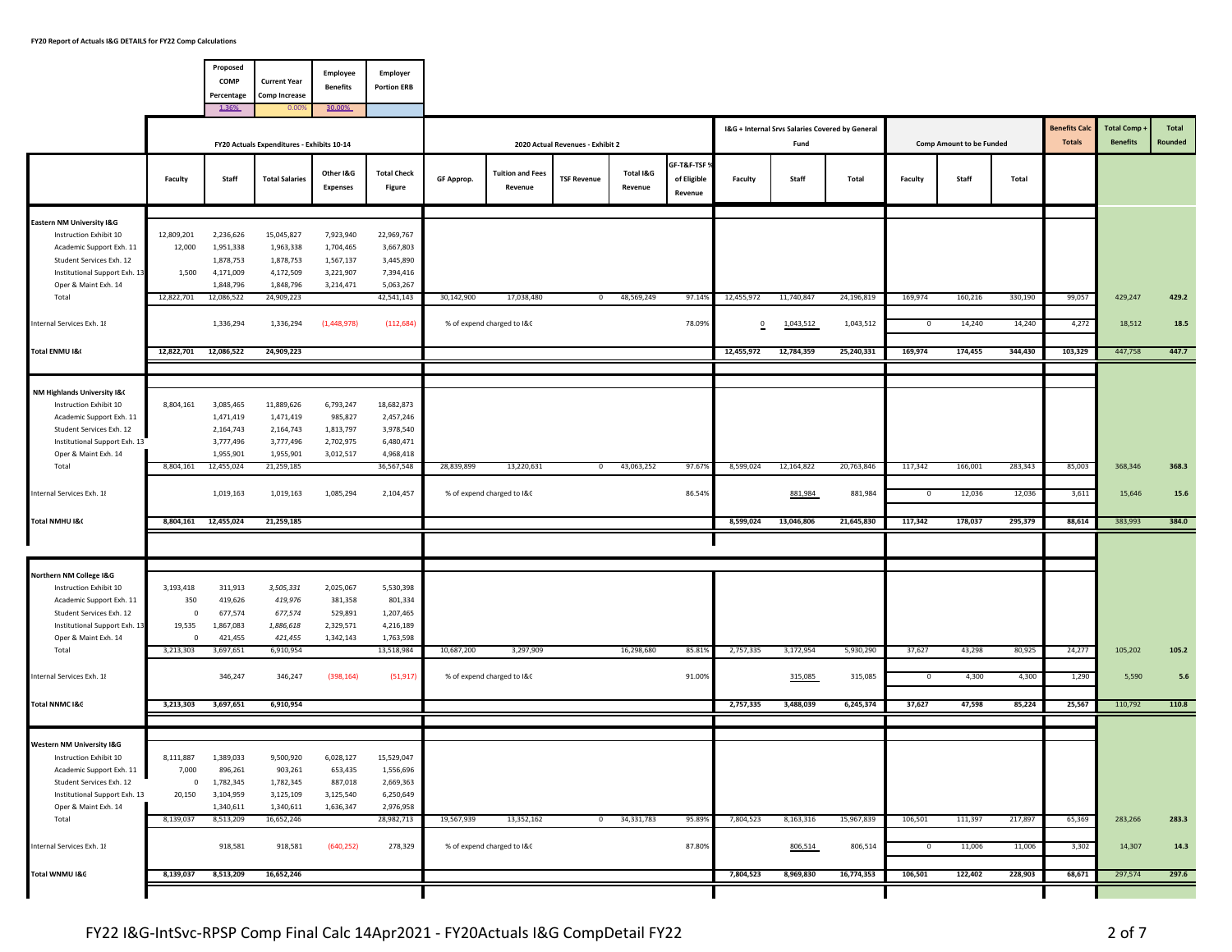|                                                           |                      | Proposed<br>COMP<br>Percentage | <b>Current Year</b><br><b>Comp Increase</b>                         | Employee<br><b>Benefits</b>  | Employer<br><b>Portion ERB</b> |            |                                    |                                                        |                      |                                        |                |                                                 |            |            |                                          |         |                                       |                                      |                         |
|-----------------------------------------------------------|----------------------|--------------------------------|---------------------------------------------------------------------|------------------------------|--------------------------------|------------|------------------------------------|--------------------------------------------------------|----------------------|----------------------------------------|----------------|-------------------------------------------------|------------|------------|------------------------------------------|---------|---------------------------------------|--------------------------------------|-------------------------|
|                                                           |                      | 1.36%                          | 0.00                                                                | 30.00%                       |                                |            |                                    |                                                        |                      |                                        |                | I&G + Internal Srvs Salaries Covered by General |            |            |                                          |         | <b>Benefits Cald</b><br><b>Totals</b> | <b>Total Comp</b><br><b>Benefits</b> | <b>Total</b><br>Rounded |
|                                                           | Faculty              | Staff                          | FY20 Actuals Expenditures - Exhibits 10-14<br><b>Total Salaries</b> | Other I&G<br><b>Expenses</b> | <b>Total Check</b><br>Figure   | GF Approp. | <b>Tuition and Fees</b><br>Revenue | 2020 Actual Revenues - Exhibit 2<br><b>TSF Revenue</b> | Total I&G<br>Revenue | GF-T&F-TSF 9<br>of Eligible<br>Revenue | <b>Faculty</b> | Fund<br>Staff                                   | Total      | Faculty    | <b>Comp Amount to be Funded</b><br>Staff | Total   |                                       |                                      |                         |
| Eastern NM University I&G                                 |                      |                                |                                                                     |                              |                                |            |                                    |                                                        |                      |                                        |                |                                                 |            |            |                                          |         |                                       |                                      |                         |
| Instruction Exhibit 10                                    | 12,809,201           | 2,236,626                      | 15,045,827                                                          | 7,923,940                    | 22,969,767                     |            |                                    |                                                        |                      |                                        |                |                                                 |            |            |                                          |         |                                       |                                      |                         |
| Academic Support Exh. 11                                  | 12,000               | 1,951,338                      | 1,963,338                                                           | 1,704,465                    | 3,667,803                      |            |                                    |                                                        |                      |                                        |                |                                                 |            |            |                                          |         |                                       |                                      |                         |
| Student Services Exh. 12                                  |                      | 1,878,753                      | 1,878,753                                                           | 1,567,137                    | 3,445,890                      |            |                                    |                                                        |                      |                                        |                |                                                 |            |            |                                          |         |                                       |                                      |                         |
| Institutional Support Exh. 13                             | 1,500                | 4,171,009                      | 4,172,509                                                           | 3,221,907                    | 7,394,416                      |            |                                    |                                                        |                      |                                        |                |                                                 |            |            |                                          |         |                                       |                                      |                         |
| Oper & Maint Exh. 14                                      |                      | 1,848,796                      | 1,848,796                                                           | 3,214,471                    | 5,063,267                      |            |                                    |                                                        |                      |                                        |                |                                                 |            |            |                                          |         |                                       |                                      |                         |
| Total                                                     | 12,822,701           | 12,086,522                     | 24,909,223                                                          |                              | 42,541,143                     | 30,142,900 | 17,038,480                         | $^{\circ}$                                             | 48,569,249           | 97.14%                                 | 12,455,972     | 11,740,847                                      | 24,196,819 | 169,974    | 160,216                                  | 330,190 | 99,057                                | 429,247                              | 429.2                   |
| Internal Services Exh. 18                                 |                      | 1,336,294                      | 1,336,294                                                           | (1,448,978)                  | (112, 684)                     |            | % of expend charged to I&C         |                                                        |                      | 78.09%                                 | $\mathbf 0$    | 1,043,512                                       | 1,043,512  | $^{\circ}$ | 14,240                                   | 14,240  | 4,272                                 | 18,512                               | 18.5                    |
| Total ENMU I&                                             | 12,822,701           | 12,086,522                     | 24,909,223                                                          |                              |                                |            |                                    |                                                        |                      |                                        | 12,455,972     | 12,784,359                                      | 25,240,331 | 169,974    | 174,455                                  | 344,430 | 103,329                               | 447,758                              | 447.7                   |
|                                                           |                      |                                |                                                                     |                              |                                |            |                                    |                                                        |                      |                                        |                |                                                 |            |            |                                          |         |                                       |                                      |                         |
| NM Highlands University I&                                |                      |                                |                                                                     |                              |                                |            |                                    |                                                        |                      |                                        |                |                                                 |            |            |                                          |         |                                       |                                      |                         |
| Instruction Exhibit 10                                    | 8,804,161            | 3,085,465                      | 11,889,626                                                          | 6,793,247                    | 18,682,873                     |            |                                    |                                                        |                      |                                        |                |                                                 |            |            |                                          |         |                                       |                                      |                         |
| Academic Support Exh. 11                                  |                      | 1,471,419                      | 1,471,419                                                           | 985,827                      | 2,457,246                      |            |                                    |                                                        |                      |                                        |                |                                                 |            |            |                                          |         |                                       |                                      |                         |
| Student Services Exh. 12                                  |                      | 2,164,743                      | 2,164,743                                                           | 1,813,797                    | 3,978,540                      |            |                                    |                                                        |                      |                                        |                |                                                 |            |            |                                          |         |                                       |                                      |                         |
| Institutional Support Exh. 13                             |                      | 3,777,496                      | 3,777,496                                                           | 2,702,975                    | 6,480,471                      |            |                                    |                                                        |                      |                                        |                |                                                 |            |            |                                          |         |                                       |                                      |                         |
| Oper & Maint Exh. 14                                      |                      | 1,955,901                      | 1,955,901                                                           | 3,012,517                    | 4,968,418                      |            |                                    |                                                        |                      |                                        |                |                                                 |            |            |                                          |         |                                       |                                      |                         |
| Total                                                     | 8,804,161            | 12,455,024                     | 21,259,185                                                          |                              | 36,567,548                     | 28,839,899 | 13,220,631                         | $\mathbf{0}$                                           | 43,063,252           | 97.67%                                 | 8,599,024      | 12,164,822                                      | 20,763,846 | 117,342    | 166,001                                  | 283,343 | 85,003                                | 368,346                              | 368.3                   |
| Internal Services Exh. 18                                 |                      | 1,019,163                      | 1,019,163                                                           | 1,085,294                    | 2,104,457                      |            | % of expend charged to I&C         |                                                        |                      | 86.54%                                 |                | 881,984                                         | 881,984    | $^{\circ}$ | 12,036                                   | 12,036  | 3,611                                 | 15,646                               | 15.6                    |
| Total NMHU I&C                                            | 8,804,161            | 12,455,024                     | 21,259,185                                                          |                              |                                |            |                                    |                                                        |                      |                                        | 8,599,024      | 13,046,806                                      | 21,645,830 | 117,342    | 178,037                                  | 295,379 | 88,614                                | 383,993                              | 384.0                   |
|                                                           |                      |                                |                                                                     |                              |                                |            |                                    |                                                        |                      |                                        |                |                                                 |            |            |                                          |         |                                       |                                      |                         |
|                                                           |                      |                                |                                                                     |                              |                                |            |                                    |                                                        |                      |                                        |                |                                                 |            |            |                                          |         |                                       |                                      |                         |
| Northern NM College I&G                                   |                      |                                |                                                                     |                              |                                |            |                                    |                                                        |                      |                                        |                |                                                 |            |            |                                          |         |                                       |                                      |                         |
| Instruction Exhibit 10                                    | 3,193,418            | 311,913                        | 3,505,331                                                           | 2,025,067                    | 5,530,398                      |            |                                    |                                                        |                      |                                        |                |                                                 |            |            |                                          |         |                                       |                                      |                         |
| Academic Support Exh. 11                                  | 350                  | 419,626                        | 419,976                                                             | 381,358                      | 801,334                        |            |                                    |                                                        |                      |                                        |                |                                                 |            |            |                                          |         |                                       |                                      |                         |
| Student Services Exh. 12<br>Institutional Support Exh. 13 | $^{\circ}$<br>19,535 | 677,574<br>1,867,083           | 677,574<br>1,886,618                                                | 529,891<br>2,329,571         | 1,207,465<br>4,216,189         |            |                                    |                                                        |                      |                                        |                |                                                 |            |            |                                          |         |                                       |                                      |                         |
| Oper & Maint Exh. 14                                      | $\mathsf 0$          | 421,455                        | 421,455                                                             | 1,342,143                    | 1,763,598                      |            |                                    |                                                        |                      |                                        |                |                                                 |            |            |                                          |         |                                       |                                      |                         |
| Total                                                     | 3,213,303            | 3,697,651                      | 6,910,954                                                           |                              | 13,518,984                     | 10,687,200 | 3,297,909                          |                                                        | 16,298,680           | 85.81%                                 | 2,757,335      | 3,172,954                                       | 5,930,290  | 37,627     | 43,298                                   | 80,925  | 24,277                                | 105,202                              | 105.2                   |
| Internal Services Exh. 18                                 |                      | 346,247                        | 346,247                                                             | (398, 164)                   | (51, 917)                      |            | % of expend charged to I&C         |                                                        |                      | 91.00%                                 |                | 315,085                                         | 315,085    | $^{\circ}$ | 4,300                                    | 4,300   | 1,290                                 | 5,590                                | $5.6$                   |
|                                                           |                      |                                |                                                                     |                              |                                |            |                                    |                                                        |                      |                                        |                |                                                 |            |            |                                          |         |                                       |                                      |                         |
| Total NNMC I&C                                            | 3,213,303            | 3,697,651                      | 6,910,954                                                           |                              |                                |            |                                    |                                                        |                      |                                        | 2,757,335      | 3,488,039                                       | 6,245,374  | 37,627     | 47,598                                   | 85,224  | 25,567                                | 110,792                              | 110.8                   |
|                                                           |                      |                                |                                                                     |                              |                                |            |                                    |                                                        |                      |                                        |                |                                                 |            |            |                                          |         |                                       |                                      |                         |
| <b>Western NM University I&amp;G</b>                      |                      |                                |                                                                     |                              |                                |            |                                    |                                                        |                      |                                        |                |                                                 |            |            |                                          |         |                                       |                                      |                         |
| Instruction Exhibit 10                                    | 8,111,887            | 1,389,033                      | 9,500,920                                                           | 6,028,127                    | 15,529,047                     |            |                                    |                                                        |                      |                                        |                |                                                 |            |            |                                          |         |                                       |                                      |                         |
| Academic Support Exh. 11                                  | 7,000                | 896,261                        | 903,261                                                             | 653,435                      | 1,556,696                      |            |                                    |                                                        |                      |                                        |                |                                                 |            |            |                                          |         |                                       |                                      |                         |
| Student Services Exh. 12                                  | $\overline{0}$       | 1,782,345                      | 1,782,345                                                           | 887,018                      | 2,669,363                      |            |                                    |                                                        |                      |                                        |                |                                                 |            |            |                                          |         |                                       |                                      |                         |
| Institutional Support Exh. 13<br>Oper & Maint Exh. 14     | 20,150               | 3,104,959<br>1,340,611         | 3,125,109<br>1,340,611                                              | 3,125,540<br>1,636,347       | 6,250,649<br>2,976,958         |            |                                    |                                                        |                      |                                        |                |                                                 |            |            |                                          |         |                                       |                                      |                         |
| Total                                                     | 8,139,037            | 8,513,209                      | 16,652,246                                                          |                              | 28,982,713                     | 19,567,939 | 13,352,162                         | $\mathbf{0}$                                           | 34,331,783           | 95.89%                                 | 7,804,523      | 8,163,316                                       | 15,967,839 | 106,501    | 111,397                                  | 217,897 | 65,369                                | 283,266                              | 283.3                   |
|                                                           |                      |                                |                                                                     |                              |                                |            |                                    |                                                        |                      |                                        |                |                                                 |            |            |                                          |         |                                       |                                      |                         |
| Internal Services Exh. 18                                 |                      | 918,581                        | 918,581                                                             | (640, 252)                   | 278,329                        |            | % of expend charged to I&C         |                                                        |                      | 87.80%                                 |                | 806,514                                         | 806,514    | $^{\circ}$ | 11,006                                   | 11,006  | 3,302                                 | 14,307                               | 14.3                    |
| Total WNMU I&C                                            | 8,139,037            | 8,513,209                      | 16,652,246                                                          |                              |                                |            |                                    |                                                        |                      |                                        | 7,804,523      | 8,969,830                                       | 16,774,353 | 106,501    | 122,402                                  | 228,903 | 68,671                                | 297,574                              | 297.6                   |
|                                                           |                      |                                |                                                                     |                              |                                |            |                                    |                                                        |                      |                                        |                |                                                 |            |            |                                          |         |                                       |                                      |                         |
|                                                           |                      |                                |                                                                     |                              |                                |            |                                    |                                                        |                      |                                        |                |                                                 |            |            |                                          |         |                                       |                                      |                         |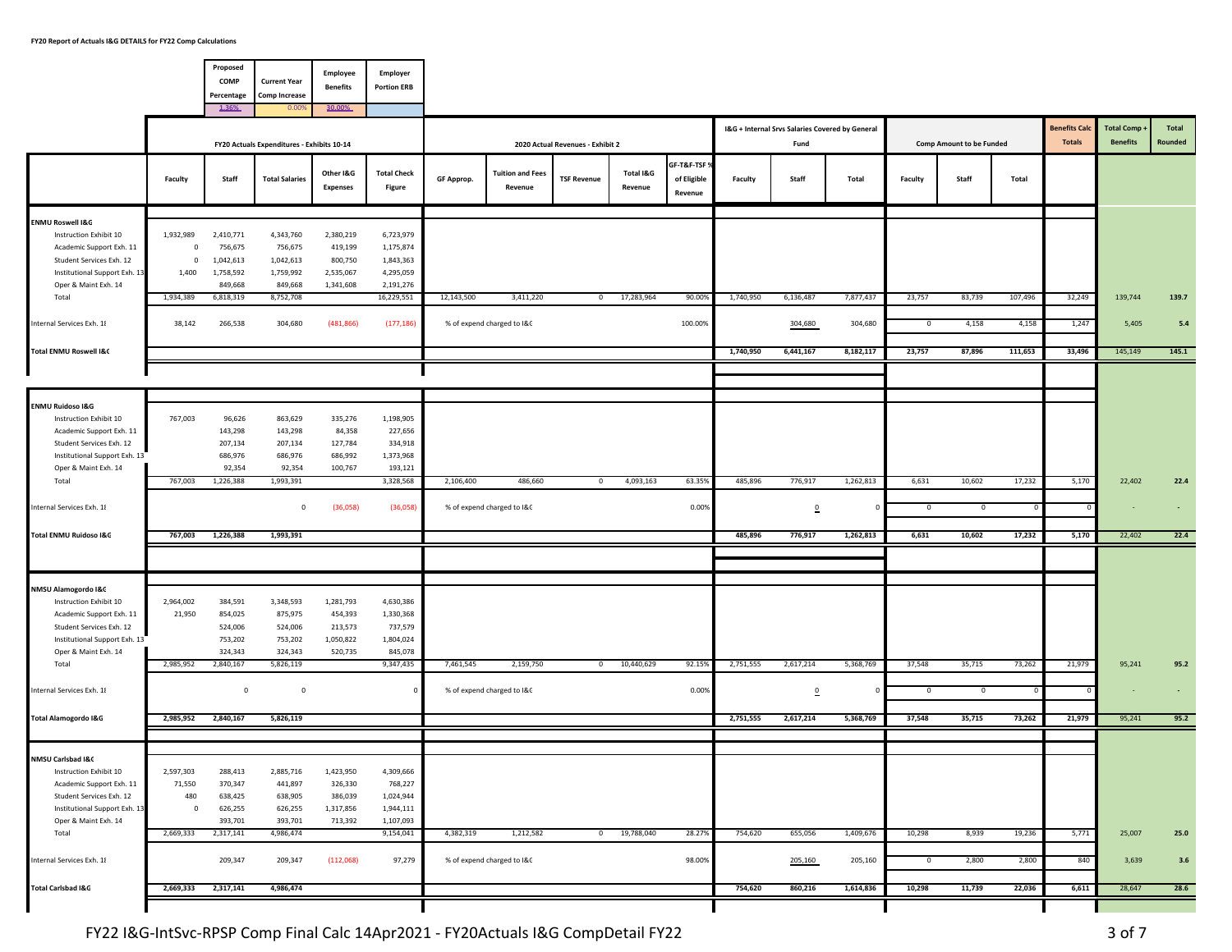|                                                                                   |                                     | Proposed<br>COMP<br>Percentage    | <b>Current Year</b><br><b>Comp Increase</b> | Employee<br><b>Benefits</b>     | Employer<br><b>Portion ERB</b>       |            |                                    |                                  |                      |                                        |                |                                                         |           |             |                                 |         |                                       |                                      |                  |
|-----------------------------------------------------------------------------------|-------------------------------------|-----------------------------------|---------------------------------------------|---------------------------------|--------------------------------------|------------|------------------------------------|----------------------------------|----------------------|----------------------------------------|----------------|---------------------------------------------------------|-----------|-------------|---------------------------------|---------|---------------------------------------|--------------------------------------|------------------|
|                                                                                   |                                     | 1.36%                             | 0.009                                       | 30.00%                          |                                      |            |                                    |                                  |                      |                                        |                |                                                         |           |             |                                 |         |                                       |                                      |                  |
|                                                                                   |                                     |                                   | FY20 Actuals Expenditures - Exhibits 10-14  |                                 |                                      |            |                                    | 2020 Actual Revenues - Exhibit 2 |                      |                                        |                | I&G + Internal Srvs Salaries Covered by General<br>Fund |           |             | <b>Comp Amount to be Funded</b> |         | <b>Benefits Cald</b><br><b>Totals</b> | <b>Total Comp</b><br><b>Benefits</b> | Total<br>Rounded |
|                                                                                   | Faculty                             | Staff                             | <b>Total Salaries</b>                       | Other I&G<br><b>Expenses</b>    | <b>Total Check</b><br>Figure         | GF Approp. | <b>Tuition and Fees</b><br>Revenue | <b>TSF Revenue</b>               | Total I&G<br>Revenue | GF-T&F-TSF 9<br>of Eligible<br>Revenue | <b>Faculty</b> | Staff                                                   | Total     | Faculty     | Staff                           | Total   |                                       |                                      |                  |
| <b>ENMU Roswell I&amp;G</b>                                                       |                                     |                                   |                                             |                                 |                                      |            |                                    |                                  |                      |                                        |                |                                                         |           |             |                                 |         |                                       |                                      |                  |
| Instruction Exhibit 10<br>Academic Support Exh. 11<br>Student Services Exh. 12    | 1,932,989<br>$\circ$<br>$\mathsf 0$ | 2,410,771<br>756,675<br>1,042,613 | 4,343,760<br>756,675<br>1,042,613           | 2,380,219<br>419,199<br>800,750 | 6,723,979<br>1,175,874<br>1,843,363  |            |                                    |                                  |                      |                                        |                |                                                         |           |             |                                 |         |                                       |                                      |                  |
| Institutional Support Exh. 13<br>Oper & Maint Exh. 14<br>Total                    | 1,400<br>1,934,389                  | 1,758,592<br>849,668<br>6,818,319 | 1,759,992<br>849,668<br>8,752,708           | 2,535,067<br>1,341,608          | 4,295,059<br>2,191,276<br>16,229,551 | 12,143,500 | 3,411,220                          | $^{\circ}$                       | 17,283,964           | 90.00%                                 | 1,740,950      | 6,136,487                                               | 7,877,437 | 23,757      | 83,739                          | 107,496 | 32,249                                | 139,744                              | 139.7            |
| Internal Services Exh. 18                                                         | 38,142                              | 266,538                           | 304,680                                     | (481, 866)                      | (177, 186)                           |            | % of expend charged to I&C         |                                  |                      | 100.00%                                |                | 304,680                                                 | 304,680   | $^{\circ}$  | 4,158                           | 4,158   | 1,247                                 | 5,405                                | 5.4              |
| <b>Total ENMU Roswell I&amp;C</b>                                                 |                                     |                                   |                                             |                                 |                                      |            |                                    |                                  |                      |                                        | 1,740,950      | 6,441,167                                               | 8,182,117 | 23,757      | 87,896                          | 111,653 | 33,496                                | 145,149                              | 145.1            |
|                                                                                   |                                     |                                   |                                             |                                 |                                      |            |                                    |                                  |                      |                                        |                |                                                         |           |             |                                 |         |                                       |                                      |                  |
| <b>ENMU Ruidoso I&amp;G</b>                                                       |                                     |                                   |                                             |                                 |                                      |            |                                    |                                  |                      |                                        |                |                                                         |           |             |                                 |         |                                       |                                      |                  |
| Instruction Exhibit 10<br>Academic Support Exh. 11<br>Student Services Exh. 12    | 767,003                             | 96,626<br>143,298<br>207,134      | 863,629<br>143,298<br>207,134               | 335,276<br>84,358<br>127,784    | 1,198,905<br>227,656<br>334,918      |            |                                    |                                  |                      |                                        |                |                                                         |           |             |                                 |         |                                       |                                      |                  |
| Institutional Support Exh. 13<br>Oper & Maint Exh. 14                             |                                     | 686,976<br>92,354                 | 686,976<br>92,354                           | 686,992<br>100,767              | 1,373,968<br>193,121                 |            |                                    |                                  |                      |                                        |                |                                                         |           |             |                                 |         |                                       |                                      |                  |
| Total                                                                             | 767,003                             | 1,226,388                         | 1,993,391                                   |                                 | 3,328,568                            | 2,106,400  | 486,660                            | $^{\circ}$                       | 4,093,163            | 63.35%                                 | 485,896        | 776,917                                                 | 1,262,813 | 6,631       | 10,602                          | 17,232  | 5,170                                 | 22,402                               | 22.4             |
| Internal Services Exh. 18                                                         |                                     |                                   | $^{\circ}$                                  | (36,058)                        | (36,058)                             |            | % of expend charged to I&C         |                                  |                      | 0.00%                                  |                | $\Omega$                                                | 0         | $\mathbf 0$ | $\circ$                         |         |                                       |                                      |                  |
| Total ENMU Ruidoso I&G                                                            | 767,003                             | 1,226,388                         | 1,993,391                                   |                                 |                                      |            |                                    |                                  |                      |                                        | 485,896        | 776,917                                                 | 1,262,813 | 6,631       | 10,602                          | 17,232  | 5,170                                 | 22,402                               | 22.4             |
| NMSU Alamogordo I&C                                                               |                                     |                                   |                                             |                                 |                                      |            |                                    |                                  |                      |                                        |                |                                                         |           |             |                                 |         |                                       |                                      |                  |
| Instruction Exhibit 10<br>Academic Support Exh. 11                                | 2,964,002<br>21,950                 | 384,591<br>854,025                | 3,348,593<br>875,975                        | 1,281,793<br>454,393            | 4,630,386<br>1,330,368               |            |                                    |                                  |                      |                                        |                |                                                         |           |             |                                 |         |                                       |                                      |                  |
| Student Services Exh. 12<br>Institutional Support Exh. 13<br>Oper & Maint Exh. 14 |                                     | 524,006<br>753,202<br>324,343     | 524,006<br>753,202<br>324,343               | 213,573<br>1,050,822<br>520,735 | 737,579<br>1,804,024<br>845,078      |            |                                    |                                  |                      |                                        |                |                                                         |           |             |                                 |         |                                       |                                      |                  |
| Total                                                                             | 2,985,952                           | 2,840,167                         | 5,826,119                                   |                                 | 9,347,435                            | 7,461,545  | 2,159,750                          | $^{\circ}$                       | 10,440,629           | 92.15%                                 | 2,751,555      | 2,617,214                                               | 5,368,769 | 37,548      | 35,715                          | 73,262  | 21,979                                | 95,241                               | 95.2             |
| Internal Services Exh. 18                                                         |                                     | $\,$ 0                            | $\mathbf 0$                                 |                                 | $\Omega$                             |            | % of expend charged to I&C         |                                  |                      | 0.00%                                  |                | $\overline{0}$                                          | $\Omega$  | $^{\circ}$  | $^{\circ}$                      |         |                                       |                                      |                  |
| <b>Total Alamogordo I&amp;G</b>                                                   | 2,985,952                           | 2,840,167                         | 5,826,119                                   |                                 |                                      |            |                                    |                                  |                      |                                        | 2,751,555      | 2,617,214                                               | 5,368,769 | 37,548      | 35,715                          | 73,262  | 21,979                                | 95,241                               | 95.2             |
| NMSU Carlsbad I&C<br>Instruction Exhibit 10                                       | 2,597,303                           | 288,413                           | 2,885,716                                   | 1,423,950                       | 4,309,666                            |            |                                    |                                  |                      |                                        |                |                                                         |           |             |                                 |         |                                       |                                      |                  |
| Academic Support Exh. 11<br>Student Services Exh. 12                              | 71,550<br>480                       | 370,347<br>638,425                | 441,897<br>638,905                          | 326,330<br>386,039              | 768,227<br>1,024,944                 |            |                                    |                                  |                      |                                        |                |                                                         |           |             |                                 |         |                                       |                                      |                  |
| Institutional Support Exh. 13<br>Oper & Maint Exh. 14<br>Total                    | $^{\circ}$<br>2,669,333             | 626,255<br>393,701<br>2,317,141   | 626,255<br>393,701<br>4,986,474             | 1,317,856<br>713,392            | 1,944,111<br>1,107,093<br>9,154,041  | 4,382,319  | 1,212,582                          | $\overline{0}$                   | 19,788,040           | 28.27%                                 | 754,620        | 655,056                                                 | 1,409,676 | 10,298      | 8,939                           | 19,236  | 5,771                                 | 25,007                               | 25.0             |
| Internal Services Exh. 18                                                         |                                     | 209,347                           | 209,347                                     | (112,068)                       | 97,279                               |            | % of expend charged to I&C         |                                  |                      | 98.00%                                 |                | 205,160                                                 | 205,160   | $^{\circ}$  | 2,800                           | 2,800   | 840                                   | 3,639                                | 3.6              |
| Total Carlsbad I&G                                                                | 2,669,333                           | 2,317,141                         | 4,986,474                                   |                                 |                                      |            |                                    |                                  |                      |                                        | 754,620        | 860,216                                                 | 1,614,836 | 10,298      | 11,739                          | 22,036  | 6,611                                 | 28,647                               | 28.6             |
|                                                                                   |                                     |                                   |                                             |                                 |                                      |            |                                    |                                  |                      |                                        |                |                                                         |           |             |                                 |         |                                       |                                      |                  |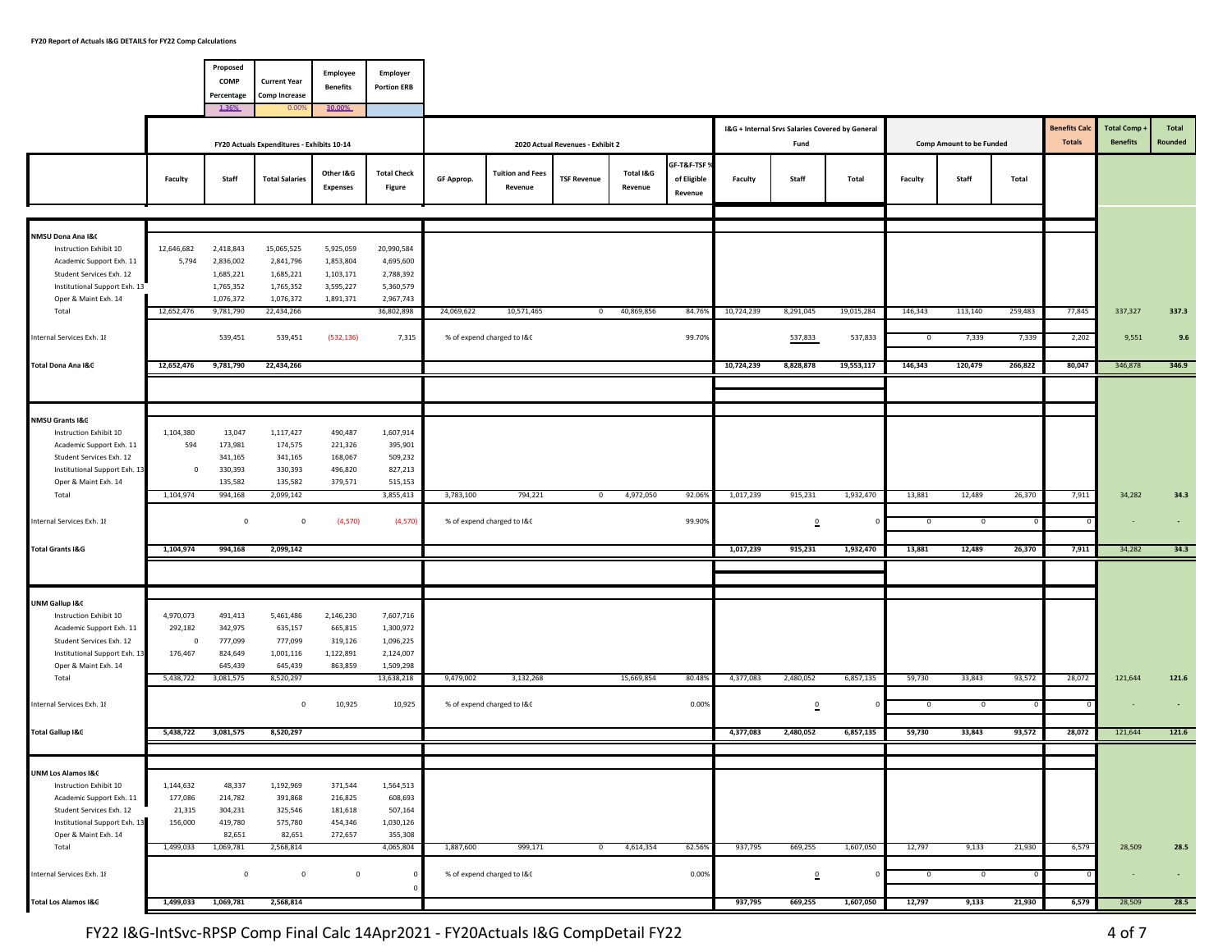|                                                                                                                                                                          |                                               | Proposed<br>COMP<br>Percentage<br>1.36%                       | <b>Current Year</b><br><b>Comp Increase</b><br>0.009           | Employee<br><b>Benefits</b><br>30.00%                         | Employer<br><b>Portion ERB</b>                                 |            |                                          |                                  |                      |                                        |            |                                                         |                       |                         |                                   |                  |                                      |                                      |                         |
|--------------------------------------------------------------------------------------------------------------------------------------------------------------------------|-----------------------------------------------|---------------------------------------------------------------|----------------------------------------------------------------|---------------------------------------------------------------|----------------------------------------------------------------|------------|------------------------------------------|----------------------------------|----------------------|----------------------------------------|------------|---------------------------------------------------------|-----------------------|-------------------------|-----------------------------------|------------------|--------------------------------------|--------------------------------------|-------------------------|
|                                                                                                                                                                          |                                               |                                                               | FY20 Actuals Expenditures - Exhibits 10-14                     |                                                               |                                                                |            |                                          | 2020 Actual Revenues - Exhibit 2 |                      |                                        |            | I&G + Internal Srvs Salaries Covered by General<br>Fund |                       |                         | <b>Comp Amount to be Funded</b>   |                  | <b>Benefits Cal</b><br><b>Totals</b> | <b>Total Comp</b><br><b>Benefits</b> | <b>Total</b><br>Rounded |
|                                                                                                                                                                          | Faculty                                       | Staff                                                         | <b>Total Salaries</b>                                          | Other I&G<br><b>Expenses</b>                                  | <b>Total Check</b><br>Figure                                   | GF Approp. | <b>Tuition and Fees</b><br>Revenue       | <b>TSF Revenue</b>               | Total I&G<br>Revenue | GF-T&F-TSF 9<br>of Eligible<br>Revenue | Faculty    | Staff                                                   | Total                 | <b>Faculty</b>          | Staff                             | Total            |                                      |                                      |                         |
| NMSU Dona Ana I&C                                                                                                                                                        |                                               |                                                               |                                                                |                                                               |                                                                |            |                                          |                                  |                      |                                        |            |                                                         |                       |                         |                                   |                  |                                      |                                      |                         |
| Instruction Exhibit 10<br>Academic Support Exh. 11<br>Student Services Exh. 12<br>Institutional Support Exh. 13<br>Oper & Maint Exh. 14                                  | 12,646,682<br>5,794                           | 2,418,843<br>2,836,002<br>1,685,221<br>1,765,352<br>1,076,372 | 15,065,525<br>2,841,796<br>1,685,221<br>1,765,352<br>1,076,372 | 5,925,059<br>1,853,804<br>1,103,171<br>3,595,227<br>1,891,371 | 20,990,584<br>4,695,600<br>2,788,392<br>5,360,579<br>2,967,743 |            |                                          |                                  |                      |                                        |            |                                                         |                       |                         |                                   |                  |                                      |                                      |                         |
| Total<br>Internal Services Exh. 18                                                                                                                                       | 12,652,476                                    | 9,781,790<br>539,451                                          | 22,434,266<br>539,451                                          | (532, 136)                                                    | 36,802,898<br>7,315                                            | 24,069,622 | 10,571,465<br>% of expend charged to I&C | $\circ$                          | 40,869,856           | 84.769<br>99.70%                       | 10,724,239 | 8,291,045<br>537,833                                    | 19,015,284<br>537,833 | 146,343<br>$\mathbf{0}$ | 113,140<br>7,339                  | 259,483<br>7,339 | 77,845<br>2,202                      | 337,327<br>9,551                     | 337.3<br>9.6            |
| Total Dona Ana I&C                                                                                                                                                       | 12,652,476                                    | 9,781,790                                                     | 22,434,266                                                     |                                                               |                                                                |            |                                          |                                  |                      |                                        | 10,724,239 | 8,828,878                                               | 19,553,117            | 146,343                 | 120,479                           | 266,822          | 80,047                               | 346,878                              | 346.9                   |
|                                                                                                                                                                          |                                               |                                                               |                                                                |                                                               |                                                                |            |                                          |                                  |                      |                                        |            |                                                         |                       |                         |                                   |                  |                                      |                                      |                         |
| NMSU Grants I&C                                                                                                                                                          |                                               |                                                               |                                                                |                                                               |                                                                |            |                                          |                                  |                      |                                        |            |                                                         |                       |                         |                                   |                  |                                      |                                      |                         |
| Instruction Exhibit 10<br>Academic Support Exh. 11<br>Student Services Exh. 12<br>Institutional Support Exh. 13<br>Oper & Maint Exh. 14                                  | 1,104,380<br>594<br>$^{\circ}$                | 13,047<br>173,981<br>341,165<br>330,393<br>135,582            | 1,117,427<br>174,575<br>341,165<br>330,393<br>135,582          | 490,487<br>221,326<br>168,067<br>496,820<br>379,571           | 1,607,914<br>395,901<br>509,232<br>827,213<br>515,153          |            |                                          |                                  |                      |                                        |            |                                                         |                       |                         |                                   |                  |                                      |                                      |                         |
| Total                                                                                                                                                                    | 1,104,974                                     | 994,168                                                       | 2,099,142                                                      |                                                               | 3,855,413                                                      | 3,783,100  | 794,221                                  | $\mathbf{0}$                     | 4,972,050            | 92.069                                 | 1,017,239  | 915,231                                                 | 1,932,470             | 13,881                  | 12,489                            | 26,370           | 7,911                                | 34,282                               | 34.3                    |
| Internal Services Exh. 18                                                                                                                                                |                                               | $\mathbf 0$                                                   | $\mathbf 0$                                                    | (4,570)                                                       | (4,570)                                                        |            | % of expend charged to I&C               |                                  |                      | 99.90%                                 |            | $\Omega$                                                |                       | $\mathbf 0$             | $\mathbf 0$                       |                  |                                      |                                      |                         |
| <b>Total Grants I&amp;G</b>                                                                                                                                              | 1,104,974                                     | 994,168                                                       | 2,099,142                                                      |                                                               |                                                                |            |                                          |                                  |                      |                                        | 1,017,239  | 915,231                                                 | 1,932,470             | 13,881                  | 12,489                            | 26,370           | 7,911                                | 34,282                               | 34.3                    |
|                                                                                                                                                                          |                                               |                                                               |                                                                |                                                               |                                                                |            |                                          |                                  |                      |                                        |            |                                                         |                       |                         |                                   |                  |                                      |                                      |                         |
| UNM Gallup I&C<br>Instruction Exhibit 10<br>Academic Support Exh. 11<br>Student Services Exh. 12<br>Institutional Support Exh. 13<br>Oper & Maint Exh. 14                | 4,970,073<br>292,182<br>$^{\circ}$<br>176,467 | 491,413<br>342,975<br>777,099<br>824,649<br>645,439           | 5,461,486<br>635,157<br>777,099<br>1,001,116<br>645,439        | 2,146,230<br>665,815<br>319,126<br>1,122,891<br>863,859       | 7,607,716<br>1,300,972<br>1,096,225<br>2,124,007<br>1,509,298  |            |                                          |                                  |                      |                                        |            |                                                         |                       |                         |                                   |                  |                                      |                                      |                         |
| Total                                                                                                                                                                    | 5,438,722                                     | 3,081,575                                                     | 8,520,297                                                      |                                                               | 13,638,218                                                     | 9,479,002  | 3,132,268                                |                                  | 15,669,854           | 80.48%                                 | 4,377,083  | 2,480,052                                               | 6,857,135             | 59,730                  | 33,843                            | 93,572           | 28,072                               | 121,644                              | 121.6                   |
| Internal Services Exh. 18                                                                                                                                                |                                               |                                                               | $\mathbb O$                                                    | 10,925                                                        | 10,925                                                         |            | % of expend charged to I&C               |                                  |                      | 0.00%                                  |            | $\Omega$                                                |                       | $^{\circ}$              | $\mathbf 0$                       |                  |                                      |                                      | ٠                       |
| <b>Total Gallup I&amp;C</b>                                                                                                                                              | 5,438,722                                     | 3,081,575                                                     | 8,520,297                                                      |                                                               |                                                                |            |                                          |                                  |                      |                                        | 4,377,083  | 2,480,052                                               | 6,857,135             | 59,730                  | 33,843                            | 93,572           | 28,072                               | 121,644                              | 121.6                   |
| <b>UNM Los Alamos I&amp;C</b><br>Instruction Exhibit 10<br>Academic Support Exh. 11<br>Student Services Exh. 12<br>Institutional Support Exh. 13<br>Oper & Maint Exh. 14 | 1,144,632<br>177,086<br>21,315<br>156,000     | 48,337<br>214,782<br>304,231<br>419,780<br>82,651             | 1,192,969<br>391,868<br>325,546<br>575,780<br>82,651           | 371,544<br>216,825<br>181,618<br>454,346<br>272,657           | 1,564,513<br>608,693<br>507,164<br>1,030,126<br>355,308        |            |                                          |                                  |                      |                                        |            |                                                         |                       |                         |                                   |                  |                                      |                                      |                         |
| Total                                                                                                                                                                    | 1,499,033                                     | 1,069,781                                                     | 2,568,814                                                      |                                                               | 4,065,804                                                      | 1,887,600  | 999,171                                  | $^{\circ}$                       | 4,614,354            | 62.56%                                 | 937,795    | 669,255                                                 | 1,607,050             | 12,797                  | 9,133                             | 21,930           | 6,579                                | 28,509                               | 28.5                    |
| Internal Services Exh. 18<br><b>Total Los Alamos I&amp;C</b>                                                                                                             |                                               | $\circ$<br>1,499,033 1,069,781                                | $\mathbb O$<br>2,568,814                                       | $\,$ 0                                                        |                                                                |            | % of expend charged to I&C               |                                  |                      | 0.00%                                  | 937,795    | $\overline{\mathbf{0}}$<br>669,255                      | 1,607,050             | $\mathbf{0}$<br>12,797  | $\overline{\phantom{0}}$<br>9,133 | 21,930           | 6,579                                | 28,509                               | $\sim$<br>28.5          |

┑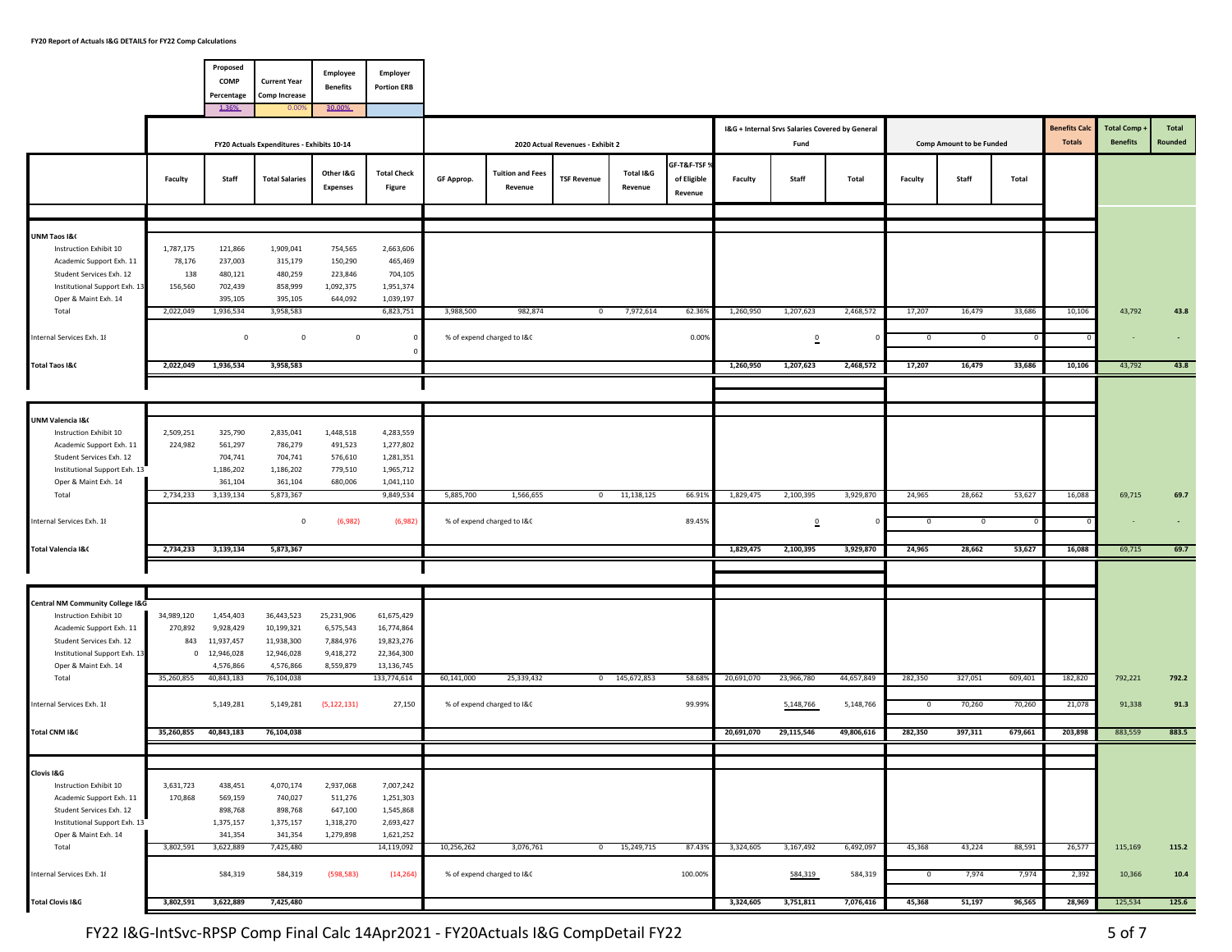|                                                                                                                                         |                                       | Proposed<br>COMP<br>Percentage                      | <b>Current Year</b><br><b>Comp Increase</b>           | Employee<br><b>Benefits</b>                           | Employer<br><b>Portion ERB</b>                            |            |                                       |                                  |                      |                                        |            |                                                         |            |                |                                 |         |                                      |                                      |                  |
|-----------------------------------------------------------------------------------------------------------------------------------------|---------------------------------------|-----------------------------------------------------|-------------------------------------------------------|-------------------------------------------------------|-----------------------------------------------------------|------------|---------------------------------------|----------------------------------|----------------------|----------------------------------------|------------|---------------------------------------------------------|------------|----------------|---------------------------------|---------|--------------------------------------|--------------------------------------|------------------|
|                                                                                                                                         |                                       | 1.36%                                               | 0.009                                                 | 30.00%                                                |                                                           |            |                                       |                                  |                      |                                        |            |                                                         |            |                |                                 |         |                                      |                                      |                  |
|                                                                                                                                         |                                       |                                                     | FY20 Actuals Expenditures - Exhibits 10-14            |                                                       |                                                           |            |                                       | 2020 Actual Revenues - Exhibit 2 |                      |                                        |            | I&G + Internal Srvs Salaries Covered by General<br>Fund |            |                | <b>Comp Amount to be Funded</b> |         | <b>Benefits Cal</b><br><b>Totals</b> | <b>Total Comp</b><br><b>Benefits</b> | Total<br>Rounded |
|                                                                                                                                         | Faculty                               | Staff                                               | <b>Total Salaries</b>                                 | Other I&G<br><b>Expenses</b>                          | <b>Total Check</b><br>Figure                              | GF Approp. | <b>Tuition and Fees</b><br>Revenue    | <b>TSF Revenue</b>               | Total I&G<br>Revenue | GF-T&F-TSF 9<br>of Eligible<br>Revenue | Faculty    | Staff                                                   | Total      | Faculty        | Staff                           | Total   |                                      |                                      |                  |
| UNM Taos I&C                                                                                                                            |                                       |                                                     |                                                       |                                                       |                                                           |            |                                       |                                  |                      |                                        |            |                                                         |            |                |                                 |         |                                      |                                      |                  |
| Instruction Exhibit 10<br>Academic Support Exh. 11<br>Student Services Exh. 12<br>Institutional Support Exh. 13<br>Oper & Maint Exh. 14 | 1,787,175<br>78,176<br>138<br>156,560 | 121,866<br>237,003<br>480,121<br>702,439<br>395,105 | 1,909,041<br>315,179<br>480,259<br>858,999<br>395,105 | 754,565<br>150,290<br>223,846<br>1,092,375<br>644,092 | 2,663,606<br>465,469<br>704,105<br>1,951,374<br>1,039,197 |            |                                       |                                  |                      |                                        |            |                                                         |            |                |                                 |         |                                      |                                      |                  |
| Total<br>Internal Services Exh. 18                                                                                                      | 2,022,049                             | 1,936,534<br>$\mathbf 0$                            | 3,958,583<br>$\overline{0}$                           | $\mathbf 0$                                           | 6,823,751                                                 | 3,988,500  | 982,874<br>% of expend charged to I&C | $\circ$                          | 7,972,614            | 62.36%<br>0.00%                        | 1,260,950  | 1,207,623<br>$\overline{\phantom{a}}$                   | 2,468,572  | 17,207<br>0    | 16,479<br>0                     | 33,686  | 10,106                               | 43,792                               | 43.8             |
| <b>Total Taos I&amp;C</b>                                                                                                               | 2,022,049                             | 1,936,534                                           | 3,958,583                                             |                                                       |                                                           |            |                                       |                                  |                      |                                        | 1,260,950  | 1,207,623                                               | 2,468,572  | 17,207         | 16,479                          | 33,686  | 10,106                               | 43,792                               | 43.8             |
|                                                                                                                                         |                                       |                                                     |                                                       |                                                       |                                                           |            |                                       |                                  |                      |                                        |            |                                                         |            |                |                                 |         |                                      |                                      |                  |
|                                                                                                                                         |                                       |                                                     |                                                       |                                                       |                                                           |            |                                       |                                  |                      |                                        |            |                                                         |            |                |                                 |         |                                      |                                      |                  |
| UNM Valencia I&C<br>Instruction Exhibit 10<br>Academic Support Exh. 11<br>Student Services Exh. 12                                      | 2,509,251<br>224,982                  | 325,790<br>561,297<br>704,741                       | 2,835,041<br>786,279<br>704,741                       | 1,448,518<br>491,523<br>576,610                       | 4,283,559<br>1,277,802<br>1,281,351                       |            |                                       |                                  |                      |                                        |            |                                                         |            |                |                                 |         |                                      |                                      |                  |
| Institutional Support Exh. 13<br>Oper & Maint Exh. 14                                                                                   |                                       | 1,186,202<br>361,104                                | 1,186,202<br>361,104                                  | 779,510<br>680,006                                    | 1,965,712<br>1,041,110                                    |            |                                       |                                  |                      |                                        |            |                                                         |            |                |                                 |         |                                      |                                      |                  |
| Total                                                                                                                                   | 2,734,233                             | 3,139,134                                           | 5,873,367                                             |                                                       | 9,849,534                                                 | 5,885,700  | 1,566,655                             |                                  | $0$ 11,138,125       | 66.919                                 | 1,829,475  | 2,100,395                                               | 3,929,870  | 24,965         | 28,662                          | 53,627  | 16,088                               | 69,715                               | 69.7             |
| Internal Services Exh. 18                                                                                                               |                                       |                                                     | $\mathbf 0$                                           | (6,982)                                               | (6,982)                                                   |            | % of expend charged to I&C            |                                  |                      | 89.45%                                 |            | $\Omega$                                                |            | 0              | 0                               |         |                                      |                                      |                  |
| Total Valencia I&C                                                                                                                      | 2,734,233                             | 3,139,134                                           | 5,873,367                                             |                                                       |                                                           |            |                                       |                                  |                      |                                        | 1,829,475  | 2,100,395                                               | 3,929,870  | 24,965         | 28,662                          | 53,627  | 16,088                               | 69,715                               | 69.7             |
|                                                                                                                                         |                                       |                                                     |                                                       |                                                       |                                                           |            |                                       |                                  |                      |                                        |            |                                                         |            |                |                                 |         |                                      |                                      |                  |
| <b>Central NM Community College I&amp;G</b><br>Instruction Exhibit 10                                                                   | 34,989,120                            | 1,454,403                                           | 36,443,523                                            | 25,231,906                                            | 61,675,429                                                |            |                                       |                                  |                      |                                        |            |                                                         |            |                |                                 |         |                                      |                                      |                  |
| Academic Support Exh. 11<br>Student Services Exh. 12                                                                                    | 270,892<br>843                        | 9,928,429<br>11,937,457                             | 10,199,321<br>11,938,300                              | 6,575,543<br>7,884,976                                | 16,774,864<br>19,823,276                                  |            |                                       |                                  |                      |                                        |            |                                                         |            |                |                                 |         |                                      |                                      |                  |
| Institutional Support Exh. 13<br>Oper & Maint Exh. 14                                                                                   |                                       | 0 12,946,028<br>4,576,866                           | 12,946,028<br>4,576,866                               | 9,418,272<br>8,559,879                                | 22,364,300<br>13,136,745                                  |            |                                       |                                  |                      |                                        |            |                                                         |            |                |                                 |         |                                      |                                      |                  |
| Total                                                                                                                                   | 35,260,855                            | 40,843,183                                          | 76,104,038                                            |                                                       | 133,774,614                                               | 60,141,000 | 25,339,432                            |                                  | 0 145,672,853        | 58.68%                                 | 20,691,070 | 23,966,780                                              | 44,657,849 | 282,350        | 327,051                         | 609,401 | 182,820                              | 792,221                              | 792.2            |
| Internal Services Exh. 18                                                                                                               |                                       | 5,149,281                                           | 5,149,281                                             | (5, 122, 131)                                         | 27,150                                                    |            | % of expend charged to I&C            |                                  |                      | 99.99%                                 |            | 5,148,766                                               | 5,148,766  | 0              | 70,260                          | 70,260  | 21,078                               | 91,338                               | 91.3             |
| Total CNM I&G                                                                                                                           | 35,260,855                            | 40,843,183                                          | 76,104,038                                            |                                                       |                                                           |            |                                       |                                  |                      |                                        | 20,691,070 | 29,115,546                                              | 49,806,616 | 282,350        | 397,311                         | 679,661 | 203,898                              | 883,559                              | 883.5            |
|                                                                                                                                         |                                       |                                                     |                                                       |                                                       |                                                           |            |                                       |                                  |                      |                                        |            |                                                         |            |                |                                 |         |                                      |                                      |                  |
| Clovis I&G<br>Instruction Exhibit 10                                                                                                    | 3,631,723                             | 438,451                                             | 4,070,174                                             | 2,937,068                                             | 7,007,242                                                 |            |                                       |                                  |                      |                                        |            |                                                         |            |                |                                 |         |                                      |                                      |                  |
| Academic Support Exh. 11<br>Student Services Exh. 12<br>Institutional Support Exh. 13                                                   | 170,868                               | 569,159<br>898,768<br>1,375,157                     | 740,027<br>898,768<br>1,375,157                       | 511,276<br>647,100<br>1,318,270                       | 1,251,303<br>1,545,868<br>2,693,427                       |            |                                       |                                  |                      |                                        |            |                                                         |            |                |                                 |         |                                      |                                      |                  |
| Oper & Maint Exh. 14                                                                                                                    |                                       | 341,354                                             | 341,354                                               | 1,279,898                                             | 1,621,252                                                 |            |                                       |                                  |                      |                                        |            |                                                         |            |                |                                 |         |                                      |                                      |                  |
| Total                                                                                                                                   | 3,802,591                             | 3,622,889                                           | 7,425,480                                             |                                                       | 14,119,092                                                | 10,256,262 | 3,076,761                             | 0                                | 15,249,715           | 87.43%                                 | 3,324,605  | 3,167,492                                               | 6,492,097  | 45,368         | 43,224                          | 88,591  | 26,577                               | 115,169                              | 115.2            |
| Internal Services Exh. 18                                                                                                               |                                       | 584,319                                             | 584,319                                               | (598, 583)                                            | (14, 264)                                                 |            | % of expend charged to I&C            |                                  |                      | 100.00%                                |            | 584,319                                                 | 584,319    | $\overline{0}$ | 7,974                           | 7,974   | 2,392                                | 10,366                               | 10.4             |
| <b>Total Clovis I&amp;G</b>                                                                                                             | 3,802,591                             | 3,622,889                                           | 7,425,480                                             |                                                       |                                                           |            |                                       |                                  |                      |                                        | 3,324,605  | 3,751,811                                               | 7,076,416  | 45,368         | 51,197                          | 96,565  | 28,969                               | 125,534                              | 125.6            |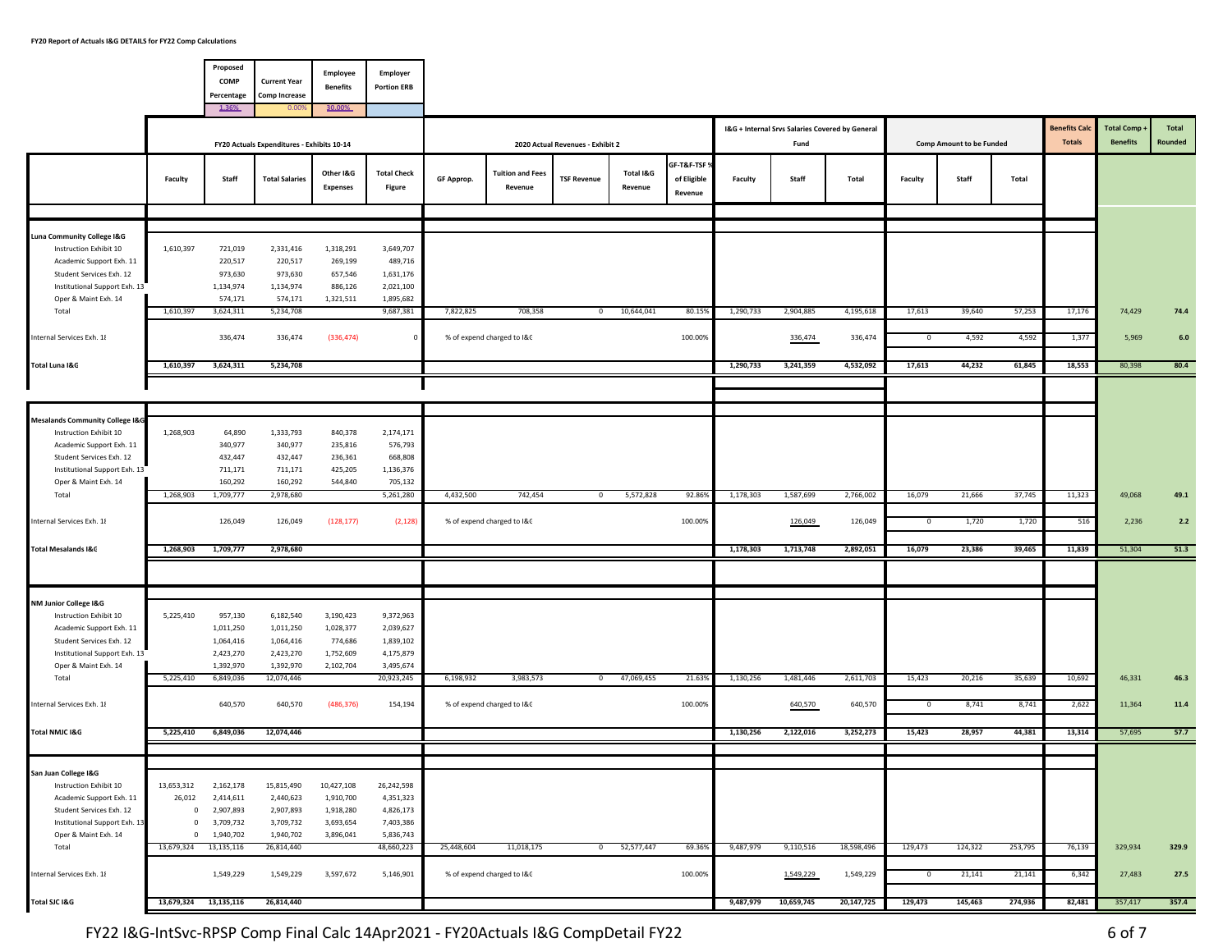|                                                                                                                                                                       |                       | Proposed<br>COMP<br>Percentage                        | <b>Current Year</b><br><b>Comp Increase</b>             | <b>Employee</b><br><b>Benefits</b>                      | <b>Employer</b><br><b>Portion ERB</b>                       |            |                                          |                                  |                      |                                        |           |                        |                                                 |                |                                 |                   |                      |                   |               |
|-----------------------------------------------------------------------------------------------------------------------------------------------------------------------|-----------------------|-------------------------------------------------------|---------------------------------------------------------|---------------------------------------------------------|-------------------------------------------------------------|------------|------------------------------------------|----------------------------------|----------------------|----------------------------------------|-----------|------------------------|-------------------------------------------------|----------------|---------------------------------|-------------------|----------------------|-------------------|---------------|
|                                                                                                                                                                       |                       | 1.36%                                                 | 0.009                                                   | 30.00%                                                  |                                                             |            |                                          |                                  |                      |                                        |           |                        | I&G + Internal Srvs Salaries Covered by General |                |                                 |                   | <b>Benefits Cald</b> | <b>Total Comp</b> | <b>Total</b>  |
|                                                                                                                                                                       |                       |                                                       | FY20 Actuals Expenditures - Exhibits 10-14              |                                                         |                                                             |            |                                          | 2020 Actual Revenues - Exhibit 2 |                      |                                        |           | Fund                   |                                                 |                | <b>Comp Amount to be Funded</b> |                   | <b>Totals</b>        | <b>Benefits</b>   | Rounded       |
|                                                                                                                                                                       | Faculty               | Staff                                                 | <b>Total Salaries</b>                                   | Other I&G<br><b>Expenses</b>                            | <b>Total Check</b><br>Figure                                | GF Approp. | <b>Tuition and Fees</b><br>Revenue       | <b>TSF Revenue</b>               | Total I&G<br>Revenue | GF-T&F-TSF 9<br>of Eligible<br>Revenue | Faculty   | Staff                  | Total                                           | Faculty        | Staff                           | Total             |                      |                   |               |
|                                                                                                                                                                       |                       |                                                       |                                                         |                                                         |                                                             |            |                                          |                                  |                      |                                        |           |                        |                                                 |                |                                 |                   |                      |                   |               |
| Luna Community College I&G<br>Instruction Exhibit 10<br>Academic Support Exh. 11<br>Student Services Exh. 12<br>Institutional Support Exh. 13<br>Oper & Maint Exh. 14 | 1,610,397             | 721,019<br>220,517<br>973,630<br>1,134,974<br>574,171 | 2,331,416<br>220,517<br>973,630<br>1,134,974<br>574,171 | 1,318,291<br>269,199<br>657,546<br>886,126<br>1,321,511 | 3,649,707<br>489,716<br>1,631,176<br>2,021,100<br>1,895,682 |            |                                          |                                  |                      |                                        |           |                        |                                                 |                |                                 |                   |                      |                   |               |
| Total<br>Internal Services Exh. 18                                                                                                                                    | 1,610,397             | 3,624,311<br>336,474                                  | 5,234,708<br>336,474                                    | (336, 474)                                              | 9,687,381                                                   | 7,822,825  | 708,358<br>% of expend charged to I&C    |                                  | $0$ 10,644,041       | 80.159<br>100.00%                      | 1,290,733 | 2,904,885<br>336,474   | 4,195,618<br>336,474                            | 17,613<br>0    | 39,640<br>4,592                 | 57,253<br>4,592   | 17,176<br>1,377      | 74,429<br>5,969   | 74.4<br>$6.0$ |
| Total Luna I&G                                                                                                                                                        | 1,610,397             | 3,624,311                                             | 5,234,708                                               |                                                         |                                                             |            |                                          |                                  |                      |                                        | 1,290,733 | 3,241,359              | 4,532,092                                       | 17,613         | 44,232                          | 61,845            | 18,553               | 80,398            | 80.4          |
|                                                                                                                                                                       |                       |                                                       |                                                         |                                                         |                                                             |            |                                          |                                  |                      |                                        |           |                        |                                                 |                |                                 |                   |                      |                   |               |
|                                                                                                                                                                       |                       |                                                       |                                                         |                                                         |                                                             |            |                                          |                                  |                      |                                        |           |                        |                                                 |                |                                 |                   |                      |                   |               |
| <b>Mesalands Community College I&amp;G</b><br>Instruction Exhibit 10<br>Academic Support Exh. 11<br>Student Services Exh. 12                                          | 1,268,903             | 64,890<br>340,977<br>432,447                          | 1,333,793<br>340,977<br>432,447                         | 840,378<br>235,816<br>236,361                           | 2,174,171<br>576,793<br>668,808                             |            |                                          |                                  |                      |                                        |           |                        |                                                 |                |                                 |                   |                      |                   |               |
| Institutional Support Exh. 13<br>Oper & Maint Exh. 14                                                                                                                 |                       | 711,171<br>160,292                                    | 711,171<br>160,292                                      | 425,205<br>544,840                                      | 1,136,376<br>705,132                                        |            |                                          |                                  |                      |                                        |           |                        |                                                 |                |                                 |                   |                      |                   |               |
| Total                                                                                                                                                                 | 1,268,903             | 1,709,777                                             | 2,978,680                                               |                                                         | 5,261,280                                                   | 4,432,500  | 742,454                                  | $^{\circ}$                       | 5,572,828            | 92.86%                                 | 1,178,303 | 1,587,699              | 2,766,002                                       | 16,079         | 21,666                          | 37,745            | 11,323               | 49,068            | 49.1          |
| Internal Services Exh. 18                                                                                                                                             |                       | 126,049                                               | 126,049                                                 | (128, 177)                                              | (2, 128)                                                    |            | % of expend charged to I&C               |                                  |                      | 100.00%                                |           | 126,049                | 126,049                                         | $\overline{0}$ | 1,720                           | 1,720             | 516                  | 2,236             | $2.2$         |
| <b>Total Mesalands I&amp;G</b>                                                                                                                                        | 1,268,903             | 1,709,777                                             | 2,978,680                                               |                                                         |                                                             |            |                                          |                                  |                      |                                        | 1,178,303 | 1,713,748              | 2,892,051                                       | 16,079         | 23,386                          | 39,465            | 11,839               | 51,304            | 51.3          |
|                                                                                                                                                                       |                       |                                                       |                                                         |                                                         |                                                             |            |                                          |                                  |                      |                                        |           |                        |                                                 |                |                                 |                   |                      |                   |               |
| NM Junior College I&G<br>Instruction Exhibit 10                                                                                                                       | 5,225,410             | 957,130                                               | 6,182,540                                               | 3,190,423                                               | 9,372,963                                                   |            |                                          |                                  |                      |                                        |           |                        |                                                 |                |                                 |                   |                      |                   |               |
| Academic Support Exh. 11<br>Student Services Exh. 12                                                                                                                  |                       | 1,011,250<br>1,064,416                                | 1,011,250<br>1,064,416                                  | 1,028,377<br>774,686                                    | 2,039,627<br>1,839,102                                      |            |                                          |                                  |                      |                                        |           |                        |                                                 |                |                                 |                   |                      |                   |               |
| Institutional Support Exh. 13                                                                                                                                         |                       | 2,423,270                                             | 2,423,270                                               | 1,752,609                                               | 4,175,879                                                   |            |                                          |                                  |                      |                                        |           |                        |                                                 |                |                                 |                   |                      |                   |               |
| Oper & Maint Exh. 14<br>Total                                                                                                                                         | 5,225,410             | 1,392,970<br>6,849,036                                | 1,392,970<br>12,074,446                                 | 2,102,704                                               | 3,495,674<br>20,923,245                                     | 6,198,932  | 3,983,573                                | $\mathbf{0}$                     | 47,069,455           | 21.63%                                 | 1,130,256 | 1,481,446              | 2,611,703                                       | 15,423         | 20,216                          | 35,639            | 10,692               | 46,331            | 46.3          |
| Internal Services Exh. 18                                                                                                                                             |                       | 640,570                                               | 640,570                                                 | (486, 376)                                              | 154,194                                                     |            | % of expend charged to I&C               |                                  |                      | 100.00%                                |           | 640,570                | 640,570                                         | $^{\circ}$     | 8,741                           | 8,741             | 2,622                | 11,364            | 11.4          |
| Total NMJC I&G                                                                                                                                                        | 5,225,410             | 6,849,036                                             | 12,074,446                                              |                                                         |                                                             |            |                                          |                                  |                      |                                        | 1,130,256 | 2,122,016              | 3,252,273                                       | 15,423         | 28,957                          | 44,381            | 13,314               | 57,695            | 57.7          |
|                                                                                                                                                                       |                       |                                                       |                                                         |                                                         |                                                             |            |                                          |                                  |                      |                                        |           |                        |                                                 |                |                                 |                   |                      |                   |               |
| San Juan College I&G                                                                                                                                                  |                       |                                                       |                                                         |                                                         |                                                             |            |                                          |                                  |                      |                                        |           |                        |                                                 |                |                                 |                   |                      |                   |               |
| Instruction Exhibit 10<br>Academic Support Exh. 11                                                                                                                    | 13,653,312<br>26,012  | 2,162,178<br>2,414,611                                | 15,815,490<br>2,440,623                                 | 10,427,108<br>1,910,700                                 | 26,242,598<br>4,351,323                                     |            |                                          |                                  |                      |                                        |           |                        |                                                 |                |                                 |                   |                      |                   |               |
| Student Services Exh. 12                                                                                                                                              | $^{\circ}$            | 2,907,893                                             | 2,907,893                                               | 1,918,280                                               | 4,826,173                                                   |            |                                          |                                  |                      |                                        |           |                        |                                                 |                |                                 |                   |                      |                   |               |
| Institutional Support Exh. 13                                                                                                                                         | $\mathbf 0$           | 3,709,732                                             | 3,709,732                                               | 3,693,654                                               | 7,403,386                                                   |            |                                          |                                  |                      |                                        |           |                        |                                                 |                |                                 |                   |                      |                   |               |
| Oper & Maint Exh. 14                                                                                                                                                  | $\mathbf{0}$          | 1,940,702                                             | 1,940,702                                               | 3,896,041                                               | 5,836,743                                                   |            |                                          |                                  |                      |                                        |           |                        |                                                 |                |                                 |                   |                      |                   |               |
| Total                                                                                                                                                                 | 13,679,324 13,135,116 | 1,549,229                                             | 26,814,440<br>1,549,229                                 | 3,597,672                                               | 48,660,223<br>5,146,901                                     | 25,448,604 | 11,018,175<br>% of expend charged to I&C | $\circ$                          | 52,577,447           | 69.36%<br>100.00%                      | 9,487,979 | 9,110,516<br>1,549,229 | 18,598,496<br>1,549,229                         | 129,473<br>0   | 124,322<br>21,141               | 253,795<br>21,141 | 76,139<br>6,342      | 329,934<br>27,483 | 329.9<br>27.5 |
| Internal Services Exh. 18                                                                                                                                             |                       |                                                       |                                                         |                                                         |                                                             |            |                                          |                                  |                      |                                        |           |                        |                                                 |                |                                 |                   |                      |                   |               |
| Total SJC I&G                                                                                                                                                         | 13,679,324 13,135,116 |                                                       | 26,814,440                                              |                                                         |                                                             |            |                                          |                                  |                      |                                        | 9,487,979 | 10,659,745             | 20,147,725                                      | 129,473        | 145,463                         | 274,936           | 82,481               | 357,417           | 357.4         |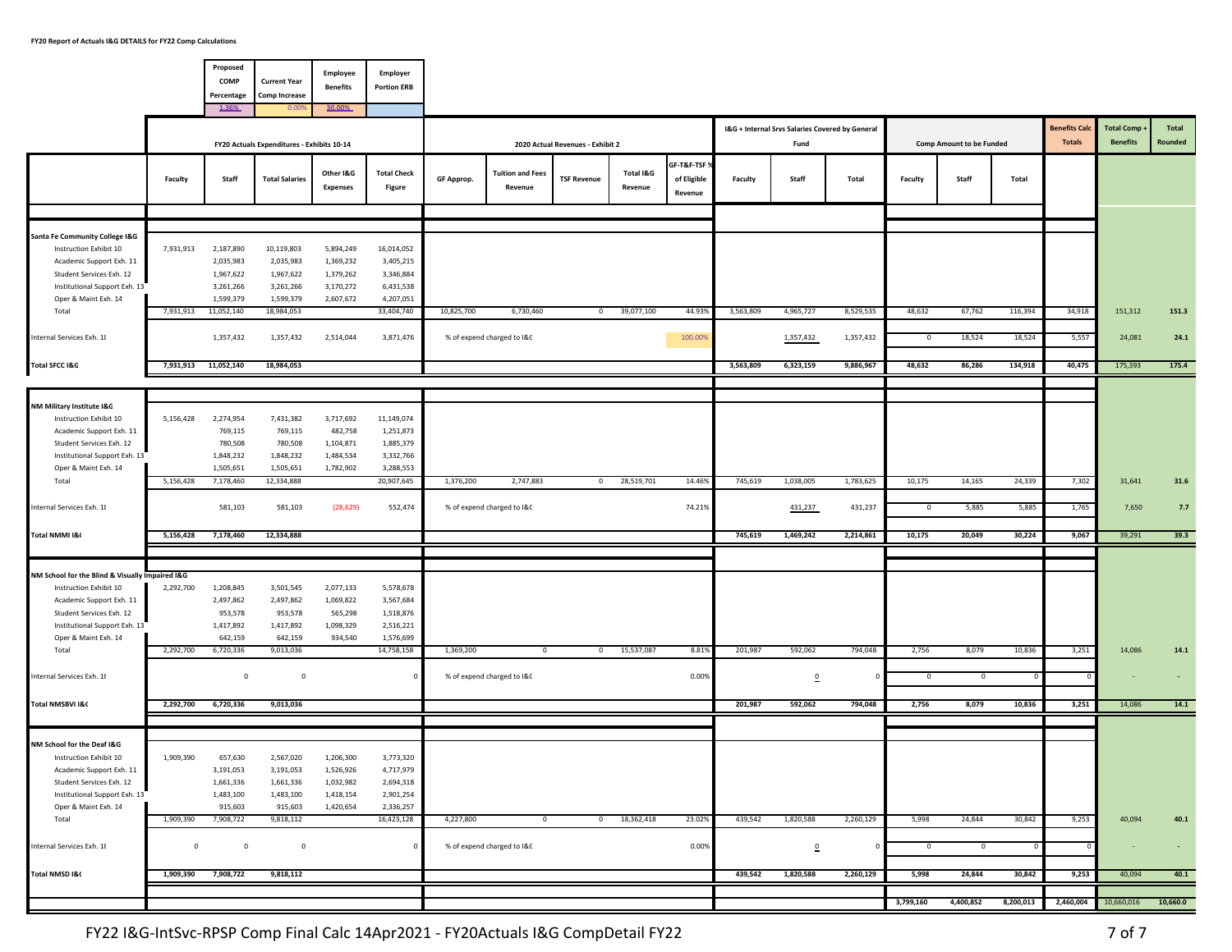|                                                                                                                                                                                                     |                         | Proposed<br>COMP<br>Percentage<br>1.36%                                | <b>Current Year</b><br><b>Comp Increase</b><br>0.00%                   | <b>Employee</b><br><b>Benefits</b><br>30.00%                  | Employer<br><b>Portion ERB</b>                                              |            |                                              |                                  |                      |                                      |           | I&G + Internal Srvs Salaries Covered by General |                        |                        |                                 |                   | <b>Benefits Cald</b> | <b>Total Comp</b> | Total          |
|-----------------------------------------------------------------------------------------------------------------------------------------------------------------------------------------------------|-------------------------|------------------------------------------------------------------------|------------------------------------------------------------------------|---------------------------------------------------------------|-----------------------------------------------------------------------------|------------|----------------------------------------------|----------------------------------|----------------------|--------------------------------------|-----------|-------------------------------------------------|------------------------|------------------------|---------------------------------|-------------------|----------------------|-------------------|----------------|
|                                                                                                                                                                                                     |                         |                                                                        | FY20 Actuals Expenditures - Exhibits 10-14                             |                                                               |                                                                             |            |                                              | 2020 Actual Revenues - Exhibit 2 |                      |                                      |           | Fund                                            |                        |                        | <b>Comp Amount to be Funded</b> |                   | <b>Totals</b>        | <b>Benefits</b>   | Rounded        |
|                                                                                                                                                                                                     | Faculty                 | Staff                                                                  | <b>Total Salaries</b>                                                  | Other I&G<br><b>Expenses</b>                                  | <b>Total Check</b><br>Figure                                                | GF Approp. | <b>Tuition and Fees</b><br>Revenue           | <b>TSF Revenue</b>               | Total I&G<br>Revenue | GF-T&F-TSF<br>of Eligible<br>Revenue | Faculty   | Staff                                           | Total                  | Faculty                | Staff                           | Total             |                      |                   |                |
|                                                                                                                                                                                                     |                         |                                                                        |                                                                        |                                                               |                                                                             |            |                                              |                                  |                      |                                      |           |                                                 |                        |                        |                                 |                   |                      |                   |                |
| Santa Fe Community College I&G<br>Instruction Exhibit 10<br>Academic Support Exh. 11<br>Student Services Exh. 12<br>Institutional Support Exh. 13<br>Oper & Maint Exh. 14                           | 7,931,913               | 2,187,890<br>2,035,983<br>1,967,622<br>3,261,266<br>1,599,379          | 10,119,803<br>2,035,983<br>1,967,622<br>3,261,266<br>1,599,379         | 5,894,249<br>1,369,232<br>1,379,262<br>3,170,272<br>2,607,672 | 16,014,052<br>3,405,215<br>3,346,884<br>6,431,538<br>4,207,051              |            |                                              |                                  |                      |                                      |           |                                                 |                        |                        |                                 |                   |                      |                   |                |
| Total<br>Internal Services Exh. 18                                                                                                                                                                  | 7,931,913               | 11,052,140<br>1,357,432                                                | 18,984,053<br>1,357,432                                                | 2,514,044                                                     | 33,404,740<br>3,871,476                                                     | 10,825,700 | 6,730,460<br>% of expend charged to I&C      | $\mathbf{0}$                     | 39,077,100           | 44.93%<br>100.00%                    | 3,563,809 | 4,965,727<br>1,357,432                          | 8,529,535<br>1,357,432 | 48,632<br>$\mathbf{0}$ | 67,762<br>18,524                | 116,394<br>18,524 | 34,918<br>5,557      | 151,312<br>24,081 | 151.3<br>24.1  |
| Total SFCC I&G                                                                                                                                                                                      | 7,931,913 11,052,140    |                                                                        | 18,984,053                                                             |                                                               |                                                                             |            |                                              |                                  |                      |                                      | 3,563,809 | 6,323,159                                       | 9,886,967              | 48,632                 | 86,286                          | 134,918           | 40,475               | 175,393           | 175.4          |
|                                                                                                                                                                                                     |                         |                                                                        |                                                                        |                                                               |                                                                             |            |                                              |                                  |                      |                                      |           |                                                 |                        |                        |                                 |                   |                      |                   |                |
| NM Military Institute I&C<br>Instruction Exhibit 10<br>Academic Support Exh. 11<br>Student Services Exh. 12<br>Institutional Support Exh. 13                                                        | 5,156,428               | 2,274,954<br>769,115<br>780,508<br>1,848,232                           | 7,431,382<br>769,115<br>780,508<br>1,848,232                           | 3,717,692<br>482,758<br>1,104,871<br>1,484,534                | 11,149,074<br>1,251,873<br>1,885,379<br>3,332,766                           |            |                                              |                                  |                      |                                      |           |                                                 |                        |                        |                                 |                   |                      |                   |                |
| Oper & Maint Exh. 14<br>Total                                                                                                                                                                       | 5,156,428               | 1,505,651<br>7,178,460                                                 | 1,505,651<br>12,334,888                                                | 1,782,902                                                     | 3,288,553<br>20,907,645                                                     | 1,376,200  | 2,747,883                                    | $\overline{0}$                   | 28,519,701           | 14.46%                               | 745,619   | 1,038,005                                       | 1,783,625              | 10,175                 | 14,165                          | 24,339            | 7,302                | 31,641            | 31.6           |
| Internal Services Exh. 18                                                                                                                                                                           |                         | 581,103                                                                | 581,103                                                                | (28, 629)                                                     | 552,474                                                                     |            | % of expend charged to I&C                   |                                  |                      | 74.21%                               |           | 431,237                                         | 431,237                | $\mathbf 0$            | 5,885                           | 5,885             | 1,765                | 7,650             | 7.7            |
| Total NMMI I&                                                                                                                                                                                       | 5,156,428               | 7,178,460                                                              | 12,334,888                                                             |                                                               |                                                                             |            |                                              |                                  |                      |                                      | 745,619   | 1,469,242                                       | 2,214,861              | 10,175                 | 20,049                          | 30,224            | 9,067                | 39,291            | 39.3           |
|                                                                                                                                                                                                     |                         |                                                                        |                                                                        |                                                               |                                                                             |            |                                              |                                  |                      |                                      |           |                                                 |                        |                        |                                 |                   |                      |                   |                |
| NM School for the Blind & Visually Impaired I&G<br>Instruction Exhibit 10<br>Academic Support Exh. 11<br>Student Services Exh. 12<br>Institutional Support Exh. 13<br>Oper & Maint Exh. 14<br>Total | 2,292,700<br>2,292,700  | 1,208,845<br>2,497,862<br>953,578<br>1,417,892<br>642,159<br>6,720,336 | 3,501,545<br>2,497,862<br>953,578<br>1,417,892<br>642,159<br>9,013,036 | 2,077,133<br>1,069,822<br>565,298<br>1,098,329<br>934,540     | 5,578,678<br>3,567,684<br>1,518,876<br>2,516,221<br>1,576,699<br>14,758,158 | 1,369,200  | $^{\circ}$                                   | $^{\circ}$                       | 15,537,087           | 8.81%                                | 201,987   | 592,062                                         | 794,048                | 2,756                  | 8,079                           | 10,836            | 3,251                | 14,086            | 14.1           |
| Internal Services Exh. 18                                                                                                                                                                           |                         | $\circ$                                                                | $\mathbf 0$                                                            |                                                               |                                                                             |            | % of expend charged to I&C                   |                                  |                      | 0.00%                                |           | $\overline{0}$                                  |                        | $^{\circ}$             | $\circ$                         |                   |                      |                   |                |
| Total NMSBVI I&C                                                                                                                                                                                    | 2,292,700               | 6,720,336                                                              | 9,013,036                                                              |                                                               |                                                                             |            |                                              |                                  |                      |                                      | 201,987   | 592,062                                         | 794,048                | 2,756                  | 8,079                           | 10,836            | 3,251                | 14,086            | 14.1           |
|                                                                                                                                                                                                     |                         |                                                                        |                                                                        |                                                               |                                                                             |            |                                              |                                  |                      |                                      |           |                                                 |                        |                        |                                 |                   |                      |                   |                |
| NM School for the Deaf I&G<br>Instruction Exhibit 10<br>Academic Support Exh. 11<br>Student Services Exh. 12<br>Institutional Support Exh. 13<br>Oper & Maint Exh. 14                               | 1,909,390               | 657,630<br>3,191,053<br>1,661,336<br>1,483,100<br>915,603              | 2,567,020<br>3,191,053<br>1,661,336<br>1,483,100<br>915,603            | 1,206,300<br>1,526,926<br>1,032,982<br>1,418,154<br>1,420,654 | 3,773,320<br>4,717,979<br>2,694,318<br>2,901,254<br>2,336,257               |            |                                              |                                  |                      |                                      |           |                                                 |                        |                        |                                 |                   |                      |                   |                |
| Total<br>Internal Services Exh. 18                                                                                                                                                                  | 1,909,390<br>$^{\circ}$ | 7,908,722<br>$\circ$                                                   | 9,818,112<br>$\mathbf 0$                                               |                                                               | 16,423,128                                                                  | 4,227,800  | $\overline{0}$<br>% of expend charged to I&C | $\mathbf{0}$                     | 18,362,418           | 23.02%<br>0.00%                      | 439,542   | 1,820,588<br>$\overline{\mathbf{c}}$            | 2,260,129              | 5,998<br>$\mathbf{0}$  | 24,844<br>$^{\circ}$            | 30,842            | 9,253                | 40,094            | 40.1<br>$\sim$ |
| Total NMSD I&C                                                                                                                                                                                      | 1,909,390               | 7,908,722                                                              | 9,818,112                                                              |                                                               |                                                                             |            |                                              |                                  |                      |                                      | 439,542   | 1,820,588                                       | 2,260,129              | 5,998                  | 24,844                          | 30,842            | 9,253                | 40,094            | 40.1           |
|                                                                                                                                                                                                     |                         |                                                                        |                                                                        |                                                               |                                                                             |            |                                              |                                  |                      |                                      |           |                                                 |                        | 3,799,160              | 4,400,852                       | 8,200,013         | 2,460,004            | 10,660,016        | 10,660.0       |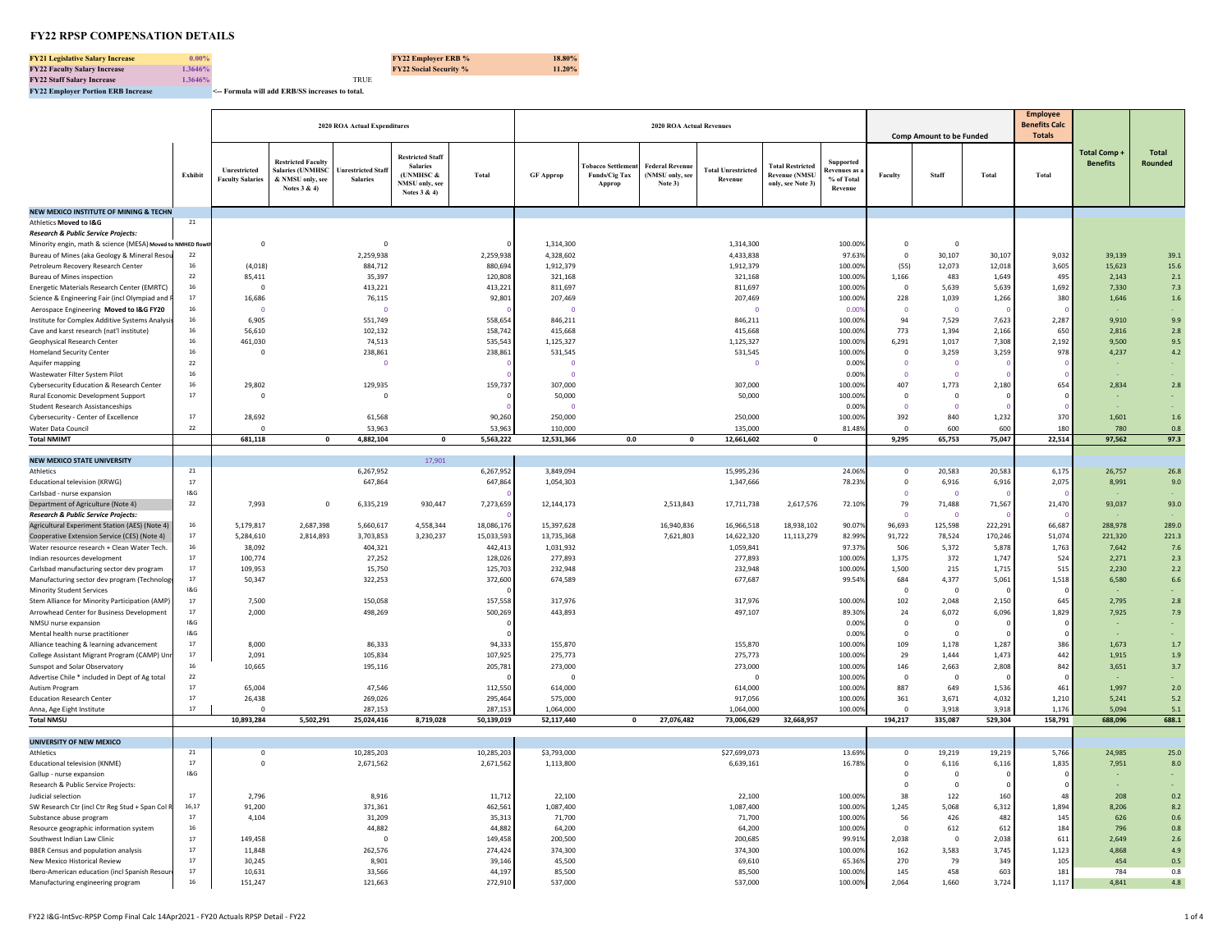**FY21 Legislative Salary Increase 0.00% FY22 Employer ERB % 18.80% FY22 Faculty Salary Increase 1.3646% FY22 Social Security % 11.20% FY22 Staff Salary Increase**<br>**FY22 Employer Portion ERB Increase** 

**FY22 Employer Portion ERB Increase <-- Formula will add ERB/SS increases to total.** 

|                                                                                                          |                      |                                         | 2020 ROA Actual Expenditures                                                             |                                      |                                                                                                  |                      |                          |                                                   |                                                      |                                      |                                                                      |                                                          |                                                    |                                 |                 | <b>Employee</b>                       |                                 |                  |
|----------------------------------------------------------------------------------------------------------|----------------------|-----------------------------------------|------------------------------------------------------------------------------------------|--------------------------------------|--------------------------------------------------------------------------------------------------|----------------------|--------------------------|---------------------------------------------------|------------------------------------------------------|--------------------------------------|----------------------------------------------------------------------|----------------------------------------------------------|----------------------------------------------------|---------------------------------|-----------------|---------------------------------------|---------------------------------|------------------|
|                                                                                                          |                      |                                         |                                                                                          |                                      |                                                                                                  |                      |                          |                                                   | <b>2020 ROA Actual Revenues</b>                      |                                      |                                                                      |                                                          |                                                    | <b>Comp Amount to be Funded</b> |                 | <b>Benefits Calc</b><br><b>Totals</b> |                                 |                  |
|                                                                                                          | Exhibit              | Unrestricted<br><b>Faculty Salaries</b> | <b>Restricted Faculty</b><br><b>Salaries (UNMHSC</b><br>& NMSU only, see<br>Notes 3 & 4) | Unrestricted Staf<br><b>Salaries</b> | <b>Restricted Staff</b><br><b>Salaries</b><br>(UNMHSC &<br><b>NMSU</b> only, see<br>Notes 3 & 4) | Total                | <b>GF Approp</b>         | <b>Fobacco Settler</b><br>Funds/Cig Tax<br>Approp | <b>Federal Revenue</b><br>(NMSU only, see<br>Note 3) | <b>Total Unrestricted</b><br>Revenue | <b>Total Restricted</b><br><b>Revenue (NMSU</b><br>only, see Note 3) | Supported<br><b>Revenues</b> as<br>% of Total<br>Revenue | Faculty                                            | Staff                           | <b>Total</b>    | Total                                 | Total Comp -<br><b>Benefits</b> | Total<br>Rounded |
| NEW MEXICO INSTITUTE OF MINING & TECHN                                                                   |                      |                                         |                                                                                          |                                      |                                                                                                  |                      |                          |                                                   |                                                      |                                      |                                                                      |                                                          |                                                    |                                 |                 |                                       |                                 |                  |
| Athletics Moved to I&G                                                                                   | 21                   |                                         |                                                                                          |                                      |                                                                                                  |                      |                          |                                                   |                                                      |                                      |                                                                      |                                                          |                                                    |                                 |                 |                                       |                                 |                  |
| Research & Public Service Projects:                                                                      |                      |                                         |                                                                                          |                                      |                                                                                                  |                      |                          |                                                   |                                                      |                                      |                                                                      |                                                          |                                                    |                                 |                 |                                       |                                 |                  |
| Minority engin, math & science (MESA) Moved to NMHED flo<br>Bureau of Mines (aka Geology & Mineral Resou | 22                   | $\overline{\mathbf{0}}$                 |                                                                                          | $\circ$<br>2,259,938                 |                                                                                                  | 2,259,938            | 1,314,300<br>4,328,602   |                                                   |                                                      | 1,314,300<br>4,433,838               |                                                                      | 100.009<br>97.63                                         | $\overline{\mathbf{0}}$<br>$\overline{0}$          | $\Omega$<br>30,107              | 30,107          | 9,032                                 | 39,139                          | 39.1             |
| Petroleum Recovery Research Center                                                                       | 16                   | (4,018)                                 |                                                                                          | 884,712                              |                                                                                                  | 880,694              | 1,912,379                |                                                   |                                                      | 1,912,379                            |                                                                      | 100.009                                                  | (55)                                               | 12,073                          | 12,018          | 3,605                                 | 15,623                          | 15.6             |
| <b>Bureau of Mines inspection</b>                                                                        | $\bf 22$             | 85,411                                  |                                                                                          | 35,397                               |                                                                                                  | 120,808              | 321,168                  |                                                   |                                                      | 321,168                              |                                                                      | 100.009                                                  | 1,166                                              | 483                             | 1,649           | 495                                   | 2,143                           | 2.1              |
| Energetic Materials Research Center (EMRTC)                                                              | 16                   | $\Omega$                                |                                                                                          | 413,221                              |                                                                                                  | 413,221              | 811,697                  |                                                   |                                                      | 811,697                              |                                                                      | 100.009                                                  | $\Omega$                                           | 5,639                           | 5,639           | 1.692                                 | 7,330                           | $7.3$            |
| Science & Engineering Fair (incl Olympiad and                                                            | 17                   | 16,686                                  |                                                                                          | 76,115                               |                                                                                                  | 92,801               | 207,469                  |                                                   |                                                      | 207,469                              |                                                                      | 100.009                                                  | 228                                                | 1,039                           | 1,266           | 380                                   | 1,646                           | 1.6              |
| Aerospace Engineering Moved to I&G FY20                                                                  | 16                   | $\Omega$                                |                                                                                          | $\Omega$                             |                                                                                                  |                      | $\overline{0}$           |                                                   |                                                      | O                                    |                                                                      | 0.005                                                    | $\overline{0}$                                     | $\Omega$                        |                 |                                       |                                 |                  |
| Institute for Complex Additive Systems Analys<br>Cave and karst research (nat'l institute)               | 16<br>16             | 6,905<br>56,610                         |                                                                                          | 551,749<br>102,132                   |                                                                                                  | 558,654<br>158,742   | 846,211<br>415,668       |                                                   |                                                      | 846,211<br>415,668                   |                                                                      | 100.009<br>100.009                                       | 94<br>773                                          | 7,529<br>1,394                  | 7,623<br>2,166  | 2,287<br>650                          | 9,910<br>2.816                  | 9.9<br>2.8       |
| Geophysical Research Center                                                                              | 16                   | 461,030                                 |                                                                                          | 74,513                               |                                                                                                  | 535,543              | 1,125,327                |                                                   |                                                      | 1,125,327                            |                                                                      | 100.009                                                  | 6,291                                              | 1,017                           | 7,308           | 2,192                                 | 9,500                           | 9.5              |
| <b>Homeland Security Center</b>                                                                          | 16                   | $^{\circ}$                              |                                                                                          | 238,861                              |                                                                                                  | 238,861              | 531,545                  |                                                   |                                                      | 531,545                              |                                                                      | 100.009                                                  | $\overline{0}$                                     | 3,259                           | 3,259           | 978                                   | 4,237                           | 4.2              |
| Aquifer mapping                                                                                          | 22                   |                                         |                                                                                          | $\circ$                              |                                                                                                  |                      | $\Omega$                 |                                                   |                                                      | $\circ$                              |                                                                      | 0.00%                                                    | $\overline{0}$                                     | $\Omega$                        |                 |                                       |                                 |                  |
| Wastewater Filter System Pilot                                                                           | 16                   |                                         |                                                                                          |                                      |                                                                                                  |                      | $\Omega$                 |                                                   |                                                      |                                      |                                                                      | 0.00%                                                    | $\Omega$                                           | $\Omega$                        |                 |                                       |                                 |                  |
| Cybersecurity Education & Research Center                                                                | 16                   | 29,802                                  |                                                                                          | 129,935                              |                                                                                                  | 159,73               | 307,000                  |                                                   |                                                      | 307,000                              |                                                                      | 100.009                                                  | 407                                                | 1,773                           | 2,180           | 654                                   | 2,834                           | 2.8              |
| Rural Economic Development Support                                                                       | 17                   | $\mathbf 0$                             |                                                                                          | $\mathbf 0$                          |                                                                                                  |                      | 50,000<br>$\overline{0}$ |                                                   |                                                      | 50,000                               |                                                                      | 100.00                                                   | $\overline{0}$<br>$\overline{0}$                   | $\mathbf 0$                     |                 |                                       |                                 |                  |
| <b>Student Research Assistanceships</b><br><b>Cybersecurity - Center of Excellence</b>                   | $17\,$               | 28,692                                  |                                                                                          | 61,568                               |                                                                                                  | 90.260               | 250,000                  |                                                   |                                                      | 250,000                              |                                                                      | 0.009<br>100.009                                         | 392                                                | 840                             | 1,232           | 370                                   | 1,601                           | $1.6$            |
| <b>Water Data Council</b>                                                                                | ${\bf 22}$           |                                         |                                                                                          | 53,963                               |                                                                                                  | 53.96                | 110,000                  |                                                   |                                                      | 135,000                              |                                                                      | 81.489                                                   | $\Omega$                                           | 600                             | 600             | 18                                    | 780                             | 0.8              |
| <b>Total NMIMT</b>                                                                                       |                      | 681,118                                 | $\mathbf 0$                                                                              | 4,882,104                            | $\mathbf{0}$                                                                                     | 5,563,222            | 12,531,366               | 0.0                                               | $\mathbf{0}$                                         | 12,661,602                           | $\mathbf{0}$                                                         |                                                          | 9,295                                              | 65,753                          | 75,047          | 22,514                                | 97,562                          | 97.3             |
|                                                                                                          |                      |                                         |                                                                                          |                                      |                                                                                                  |                      |                          |                                                   |                                                      |                                      |                                                                      |                                                          |                                                    |                                 |                 |                                       |                                 |                  |
| <b>NEW MEXICO STATE UNIVERSITY</b>                                                                       |                      |                                         |                                                                                          |                                      | 17,901                                                                                           |                      |                          |                                                   |                                                      |                                      |                                                                      |                                                          |                                                    |                                 |                 |                                       |                                 |                  |
| Athletics<br>Educational television (KRWG)                                                               | 21<br>$17\,$         |                                         |                                                                                          | 6,267,952<br>647,864                 |                                                                                                  | 6,267,952<br>647,864 | 3,849,094<br>1,054,303   |                                                   |                                                      | 15,995,236<br>1,347,666              |                                                                      | 24.069<br>78.23%                                         | $\overline{\mathbf{0}}$<br>$\overline{0}$          | 20,583<br>6,916                 | 20,583<br>6,916 | 6,175<br>2,075                        | 26,757<br>8,991                 | 26.8<br>9.0      |
| Carlsbad - nurse expansion                                                                               | 18G                  |                                         |                                                                                          |                                      |                                                                                                  |                      |                          |                                                   |                                                      |                                      |                                                                      |                                                          | $\overline{0}$                                     | $\Omega$                        |                 |                                       |                                 |                  |
| Department of Agriculture (Note 4)                                                                       | 22                   | 7,993                                   | $^{\circ}$                                                                               | 6,335,219                            | 930,447                                                                                          | 7,273,659            | 12,144,173               |                                                   | 2,513,843                                            | 17,711,738                           | 2,617,576                                                            | 72.10%                                                   | 79                                                 | 71,488                          | 71,567          | 21,470                                | 93,037                          | 93.0             |
| Research & Public Service Projects.                                                                      |                      |                                         |                                                                                          |                                      |                                                                                                  |                      |                          |                                                   |                                                      |                                      |                                                                      |                                                          | $\sqrt{2}$                                         | $\Omega$                        |                 |                                       |                                 |                  |
| Agricultural Experiment Station (AES) (Note 4                                                            | 16                   | 5,179,817                               | 2,687,398                                                                                | 5,660,617                            | 4,558,344                                                                                        | 18,086,176           | 15,397,628               |                                                   | 16,940,836                                           | 16,966,518                           | 18,938,102                                                           | 90.07%                                                   | 96,693                                             | 125,598                         | 222,291         | 66,687                                | 288.978                         | 289.0            |
| Cooperative Extension Service (CES) (Note 4)                                                             | $17\,$               | 5,284,610                               | 2,814,893                                                                                | 3,703,853                            | 3,230,237                                                                                        | 15,033,59            | 13,735,368               |                                                   | 7,621,803                                            | 14,622,320                           | 11,113,279                                                           | 82.99                                                    | 91,722                                             | 78,524                          | 170,246         | 51,074                                | 221,320                         | 221.3            |
| Water resource research + Clean Water Tech<br>Indian resources development                               | ${\bf 16}$<br>17     | 38,092<br>100,774                       |                                                                                          | 404,321<br>27,252                    |                                                                                                  | 442,41<br>128,026    | 1,031,932<br>277,893     |                                                   |                                                      | 1,059,841<br>277,893                 |                                                                      | 97.37<br>100.009                                         | 506<br>1,375                                       | 5,372<br>372                    | 5,878<br>1,747  | 1,763<br>524                          | 7,642<br>2,271                  | 7.6<br>2.3       |
| Carlsbad manufacturing sector dev program                                                                | 17                   | 109,953                                 |                                                                                          | 15,750                               |                                                                                                  | 125,703              | 232,948                  |                                                   |                                                      | 232,948                              |                                                                      | 100.009                                                  | 1,500                                              | 215                             | 1,715           | 515                                   | 2,230                           | 2.2              |
| Manufacturing sector dev program (Technolo                                                               | 17                   | 50.347                                  |                                                                                          | 322,253                              |                                                                                                  | 372,600              | 674,589                  |                                                   |                                                      | 677,687                              |                                                                      | 99.549                                                   | 684                                                | 4,377                           | 5,061           | 1.518                                 | 6,580                           | 6.6              |
| Minority Student Services                                                                                | 18G                  |                                         |                                                                                          |                                      |                                                                                                  |                      |                          |                                                   |                                                      |                                      |                                                                      |                                                          | $\Omega$                                           | $\Omega$                        |                 |                                       |                                 |                  |
| Stem Alliance for Minority Participation (AMP)                                                           | 17                   | 7,500                                   |                                                                                          | 150,058                              |                                                                                                  | 157,558              | 317,976                  |                                                   |                                                      | 317,976                              |                                                                      | 100.009                                                  | 102                                                | 2,048                           | 2,150           | 645                                   | 2,795                           | $2.8\,$          |
| Arrowhead Center for Business Development                                                                | 17                   | 2.000                                   |                                                                                          | 498,269                              |                                                                                                  | 500,269              | 443,893                  |                                                   |                                                      | 497,107                              |                                                                      | 89.309                                                   | 24                                                 | 6,072                           | 6,096           | 1,829                                 | 7,925                           | 7.9              |
| NMSU nurse expansion<br>Mental health nurse practitioner                                                 | 18G<br>18G           |                                         |                                                                                          |                                      |                                                                                                  |                      |                          |                                                   |                                                      |                                      |                                                                      | 0.00%<br>0.009                                           | $\overline{0}$<br>$\Omega$                         | $\mathbf 0$<br>$\Omega$         |                 |                                       |                                 |                  |
| Alliance teaching & learning advancement                                                                 | $17\,$               | 8,000                                   |                                                                                          | 86,333                               |                                                                                                  | 94,333               | 155,870                  |                                                   |                                                      | 155,870                              |                                                                      | 100.009                                                  | 109                                                | 1,178                           | 1,287           | 386                                   | 1,673                           | 1.7              |
| College Assistant Migrant Program (CAMP) Un                                                              | 17                   | 2,091                                   |                                                                                          | 105,834                              |                                                                                                  | 107,925              | 275,773                  |                                                   |                                                      | 275,773                              |                                                                      | 100.009                                                  | 29                                                 | 1.444                           | 1,473           | 442                                   | 1.915                           | $1.9\,$          |
| Sunspot and Solar Observatory                                                                            | 16                   | 10,665                                  |                                                                                          | 195,116                              |                                                                                                  | 205,781              | 273,000                  |                                                   |                                                      | 273,000                              |                                                                      | 100.009                                                  | 146                                                | 2,663                           | 2,808           | 842                                   | 3,651                           | 3.7              |
| Advertise Chile * included in Dept of Ag total                                                           | ${\bf 22}$           |                                         |                                                                                          |                                      |                                                                                                  |                      | $\overline{0}$           |                                                   |                                                      | $\overline{\mathbf{0}}$              |                                                                      | 100.009                                                  | $\overline{0}$                                     | $\overline{0}$                  |                 |                                       |                                 |                  |
| Autism Program                                                                                           | 17                   | 65,004                                  |                                                                                          | 47,546                               |                                                                                                  | 112,550              | 614,000                  |                                                   |                                                      | 614,000                              |                                                                      | 100.009                                                  | 887                                                | 649                             | 1,536           | 461                                   | 1,997                           | $2.0$            |
| <b>Education Research Center</b><br>Anna, Age Eight Institute                                            | $17\,$<br>$17\,$     | 26,438<br>$\Omega$                      |                                                                                          | 269,026<br>287,153                   |                                                                                                  | 295,464<br>287,153   | 575,000<br>1,064,000     |                                                   |                                                      | 917,056<br>1,064,000                 |                                                                      | 100.009<br>100.00%                                       | 361<br>$\Omega$                                    | 3,671<br>3,918                  | 4,032<br>3,918  | 1,210<br>1,176                        | 5,241<br>5,094                  | 5.2<br>5.1       |
| <b>Total NMSU</b>                                                                                        |                      | 10,893,284                              | 5,502,291                                                                                | 25,024,416                           | 8,719,028                                                                                        | 50,139,019           | 52,117,440               | $\mathbf 0$                                       | 27,076,482                                           | 73,006,629                           | 32,668,957                                                           |                                                          | 194,217                                            | 335,087                         | 529,304         | 158,791                               | 688,096                         | 688.1            |
|                                                                                                          |                      |                                         |                                                                                          |                                      |                                                                                                  |                      |                          |                                                   |                                                      |                                      |                                                                      |                                                          |                                                    |                                 |                 |                                       |                                 |                  |
| UNIVERSITY OF NEW MEXICO                                                                                 |                      |                                         |                                                                                          |                                      |                                                                                                  |                      |                          |                                                   |                                                      |                                      |                                                                      |                                                          |                                                    |                                 |                 |                                       |                                 |                  |
| Athletics                                                                                                | 21<br>17             | $\overline{\mathbf{0}}$<br>$\mathbf 0$  |                                                                                          | 10,285,203                           |                                                                                                  | 10,285,203           | \$3,793,000              |                                                   |                                                      | \$27,699,073                         |                                                                      | 13.699<br>16.78%                                         | $\overline{\mathbf{0}}$<br>$\overline{\mathbf{0}}$ | 19,219                          | 19,219          | 5,766                                 | 24,985                          | 25.0             |
| Educational television (KNME)<br>Gallup - nurse expansion                                                | 18G                  |                                         |                                                                                          | 2,671,562                            |                                                                                                  | 2,671,562            | 1,113,800                |                                                   |                                                      | 6,639,161                            |                                                                      |                                                          | $\overline{\mathbf{0}}$                            | 6,116<br>$\mathbf 0$            | 6,116           | 1,835                                 | 7,951                           | 8.0              |
| Research & Public Service Projects:                                                                      |                      |                                         |                                                                                          |                                      |                                                                                                  |                      |                          |                                                   |                                                      |                                      |                                                                      |                                                          | $\overline{0}$                                     | $^{\circ}$                      |                 |                                       |                                 |                  |
| Judicial selection                                                                                       | 17                   | 2.796                                   |                                                                                          | 8,916                                |                                                                                                  | 11,712               | 22,100                   |                                                   |                                                      | 22.100                               |                                                                      | 100.009                                                  | 38                                                 | 122                             | 160             | $\Delta$                              | 208                             | 0.2              |
| SW Research Ctr (incl Ctr Reg Stud + Span Col                                                            | 16,17                | 91,200                                  |                                                                                          | 371,361                              |                                                                                                  | 462,561              | 1,087,400                |                                                   |                                                      | 1,087,400                            |                                                                      | 100.009                                                  | 1,245                                              | 5,068                           | 6,312           | 1,894                                 | 8,206                           | 8.2              |
| Substance abuse program                                                                                  | 17                   | 4,104                                   |                                                                                          | 31,209                               |                                                                                                  | 35,313               | 71,700                   |                                                   |                                                      | 71,700                               |                                                                      | 100.009                                                  | 56                                                 | 426                             | 482             | 145                                   | 626                             | 0.6              |
| Resource geographic information system<br>Southwest Indian Law Clinic                                    | ${\bf 16}$<br>$17\,$ | 149,458                                 |                                                                                          | 44,882<br>$\mathbf 0$                |                                                                                                  | 44,88<br>149,458     | 64,200<br>200,500        |                                                   |                                                      | 64,200<br>200,685                    |                                                                      | 100.009<br>99.91                                         | $\overline{\mathbf{0}}$<br>2,038                   | 612<br>$\mathbf 0$              | 612<br>2,038    | 184<br>61                             | 796<br>2,649                    | 0.8<br>2.6       |
| <b>BBER Census and population analysis</b>                                                               | 17                   | 11,848                                  |                                                                                          | 262,576                              |                                                                                                  | 274,424              | 374,300                  |                                                   |                                                      | 374,300                              |                                                                      | 100.009                                                  | 162                                                | 3,583                           | 3,745           | 1,123                                 | 4,868                           | 4.9              |
| New Mexico Historical Review                                                                             | 17                   | 30,245                                  |                                                                                          | 8.901                                |                                                                                                  | 39,14                | 45.500                   |                                                   |                                                      | 69,610                               |                                                                      | 65.369                                                   | 270                                                | 79                              | 349             | 10 <sup>5</sup>                       | 454                             | $0.5\,$          |
| Ibero-American education (incl Spanish Resou                                                             | 17                   | 10.631                                  |                                                                                          | 33,566                               |                                                                                                  | 44,197               | 85.500                   |                                                   |                                                      | 85,500                               |                                                                      | 100.009                                                  | 145                                                | 458                             | 603             | 181                                   | 784                             | 0.8              |
| Manufacturing engineering program                                                                        | 16                   | 151,247                                 |                                                                                          | 121,663                              |                                                                                                  | 272,910              | 537,000                  |                                                   |                                                      | 537,000                              |                                                                      | 100.00%                                                  | 2,064                                              | 1,660                           | 3,724           | 1,117                                 | 4,841                           | $4.8\,$          |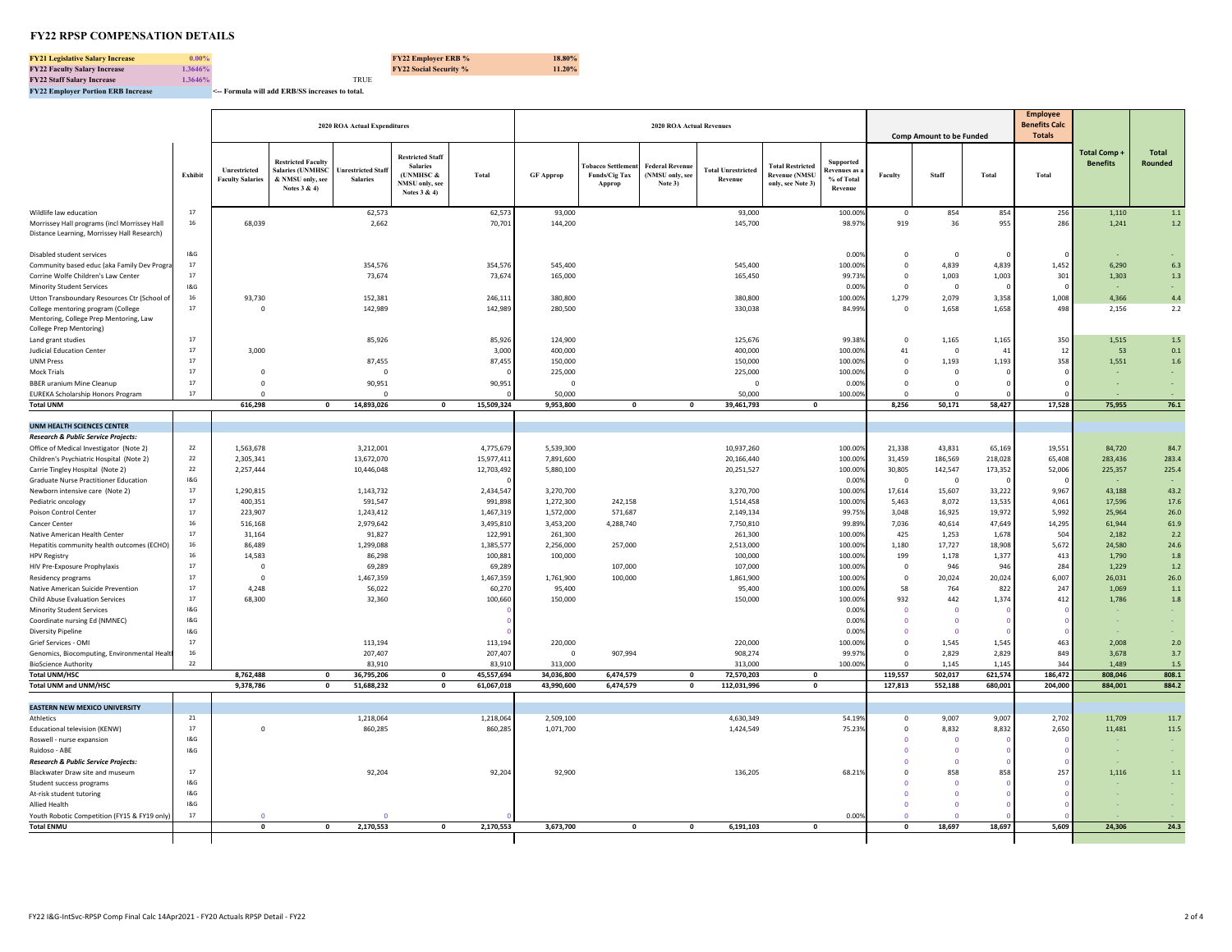**FY21 Legislative Salary Increase 0.00% FY22 Employer ERB % 18.80% FY22 Faculty Salary Increase 1.3646% FY22 Social Security % 11.20% FY22 Staff Salary Increase**<br>**FY22 Employer Portion ERB Increase** 

**FY22 Employer Portion ERB Increase <-- Formula will add ERB/SS increases to total.** 

|                                                                                             |            |                                         |                                                                                          | 2020 ROA Actual Expenditures                 |                                                                                              |                     |                           |                                                      | <b>2020 ROA Actual Revenues</b>                      |                                      |                                                                      |                                                    |                                                    |                                 |                 | <b>Employee</b><br><b>Benefits Calc</b> |                                 |                         |
|---------------------------------------------------------------------------------------------|------------|-----------------------------------------|------------------------------------------------------------------------------------------|----------------------------------------------|----------------------------------------------------------------------------------------------|---------------------|---------------------------|------------------------------------------------------|------------------------------------------------------|--------------------------------------|----------------------------------------------------------------------|----------------------------------------------------|----------------------------------------------------|---------------------------------|-----------------|-----------------------------------------|---------------------------------|-------------------------|
|                                                                                             |            |                                         |                                                                                          |                                              |                                                                                              |                     |                           |                                                      |                                                      |                                      |                                                                      |                                                    |                                                    | <b>Comp Amount to be Funded</b> |                 | <b>Totals</b>                           |                                 |                         |
|                                                                                             | Exhibit    | Unrestricted<br><b>Faculty Salaries</b> | <b>Restricted Faculty</b><br><b>Salaries (UNMHSC</b><br>& NMSU only, see<br>Notes 3 & 4) | <b>Inrestricted Staff</b><br><b>Salaries</b> | <b>Restricted Staff</b><br><b>Salaries</b><br>(UNMHSC $\&$<br>NMSU only, see<br>Notes 3 & 4) | Total               | <b>GF Approp</b>          | <b>Fobacco Settlement</b><br>Funds/Cig Tax<br>Approp | <b>Federal Revenue</b><br>(NMSU only, see<br>Note 3) | <b>Fotal Unrestricted</b><br>Revenue | <b>Total Restricted</b><br><b>Revenue (NMSU</b><br>only, see Note 3) | Supported<br>Revenues as:<br>% of Total<br>Revenue | Faculty                                            | Staff                           | Total           | Total                                   | Total Comp +<br><b>Benefits</b> | <b>Total</b><br>Rounded |
| Wildlife law education                                                                      | 17         |                                         |                                                                                          | 62,573                                       |                                                                                              | 62,57               | 93,000                    |                                                      |                                                      | 93,000                               |                                                                      | 100.009                                            | $\mathbf 0$                                        | 854                             | 854             | 256                                     | 1,110                           | $1.1\,$                 |
| Morrissey Hall programs (incl Morrissey Hall<br>Distance Learning, Morrissey Hall Research) | 16         | 68,039                                  |                                                                                          | 2,662                                        |                                                                                              | 70,701              | 144,200                   |                                                      |                                                      | 145,700                              |                                                                      | 98.97%                                             | 919                                                | 36                              | 955             | 286                                     | 1,241                           | $1.2$                   |
| Disabled student services                                                                   | 1&G        |                                         |                                                                                          |                                              |                                                                                              |                     |                           |                                                      |                                                      |                                      |                                                                      | 0.009                                              | $\overline{\mathbf{0}}$                            | $\mathbf 0$                     |                 |                                         |                                 |                         |
| Community based educ (aka Family Dev Progra                                                 | 17         |                                         |                                                                                          | 354,576                                      |                                                                                              | 354,576             | 545,400                   |                                                      |                                                      | 545,400                              |                                                                      | 100.00%                                            | $\mathbf 0$                                        | 4.839                           | 4,839           | 1,452                                   | 6.290                           | 6.3                     |
| Corrine Wolfe Children's Law Center                                                         | 17         |                                         |                                                                                          | 73,674                                       |                                                                                              | 73,674              | 165,000                   |                                                      |                                                      | 165,450                              |                                                                      | 99.739                                             | $\mathbf 0$                                        | 1,003                           | 1,003           | 301                                     | 1,303                           | $1.3$                   |
| <b>Minority Student Services</b>                                                            | 18G<br>16  |                                         |                                                                                          |                                              |                                                                                              |                     |                           |                                                      |                                                      |                                      |                                                                      | 0.009<br>100.00%                                   | $\mathbf 0$                                        | $\Omega$                        |                 |                                         | 4,366                           | 4.4                     |
| Utton Transboundary Resources Ctr (School of<br>College mentoring program (College          | 17         | 93,730<br>$\overline{0}$                |                                                                                          | 152,381<br>142,989                           |                                                                                              | 246,111<br>142,989  | 380,800<br>280,500        |                                                      |                                                      | 380,800<br>330,038                   |                                                                      | 84.99%                                             | 1,279<br>$\mathbf 0$                               | 2,079<br>1,658                  | 3,358<br>1,658  | 1,008<br>498                            | 2,156                           | 2.2                     |
| Mentoring, College Prep Mentoring, Law                                                      |            |                                         |                                                                                          |                                              |                                                                                              |                     |                           |                                                      |                                                      |                                      |                                                                      |                                                    |                                                    |                                 |                 |                                         |                                 |                         |
| <b>College Prep Mentoring)</b>                                                              |            |                                         |                                                                                          |                                              |                                                                                              |                     |                           |                                                      |                                                      |                                      |                                                                      |                                                    |                                                    |                                 |                 |                                         |                                 |                         |
| Land grant studies                                                                          | 17         |                                         |                                                                                          | 85,926                                       |                                                                                              | 85,926              | 124,900                   |                                                      |                                                      | 125,676                              |                                                                      | 99.389                                             | $\mathbf 0$                                        | 1,165                           | 1,165           | 350                                     | 1,515                           | $1.5\,$                 |
| <b>Judicial Education Center</b>                                                            | 17         | 3,000                                   |                                                                                          |                                              |                                                                                              | 3,00                | 400,000                   |                                                      |                                                      | 400,000                              |                                                                      | 100.00                                             | 41                                                 | $\mathbf 0$                     | 41              |                                         | 53                              | 0.1                     |
| <b>UNM Press</b>                                                                            | 17<br>17   | $\Omega$                                |                                                                                          | 87,455<br>$\Omega$                           |                                                                                              | 87,455              | 150,000                   |                                                      |                                                      | 150,000                              |                                                                      | 100.00%                                            | $\overline{0}$                                     | 1,193                           | 1,193           | 358                                     | 1,551                           | 1.6                     |
| <b>Mock Trials</b><br><b>BBER</b> uranium Mine Cleanup                                      | 17         | $\Omega$                                |                                                                                          | 90,951                                       |                                                                                              | 90,951              | 225,000<br>$\overline{0}$ |                                                      |                                                      | 225,000<br>$\Omega$                  |                                                                      | 100.00%<br>0.00%                                   | $\mathbf 0$<br>$\overline{0}$                      | $\mathbf 0$<br>$\Omega$         |                 |                                         |                                 |                         |
| <b>EUREKA Scholarship Honors Program</b>                                                    | 17         | $\Omega$                                |                                                                                          | $\Omega$                                     |                                                                                              |                     | 50,000                    |                                                      |                                                      | 50,000                               |                                                                      | 100.00%                                            | $\Omega$                                           | $\Omega$                        |                 |                                         |                                 |                         |
| <b>Total UNM</b>                                                                            |            | 616,298                                 | $\mathbf{0}$                                                                             | 14,893,026                                   | $\mathbf{0}$                                                                                 | 15,509,324          | 9,953,800                 | $\mathbf 0$                                          | $\mathbf 0$                                          | 39,461,793                           | $\mathbf{0}$                                                         |                                                    | 8,256                                              | 50,171                          | 58,427          | 17,528                                  | 75,955                          | 76.1                    |
|                                                                                             |            |                                         |                                                                                          |                                              |                                                                                              |                     |                           |                                                      |                                                      |                                      |                                                                      |                                                    |                                                    |                                 |                 |                                         |                                 |                         |
| <b>UNM HEALTH SCIENCES CENTER</b>                                                           |            |                                         |                                                                                          |                                              |                                                                                              |                     |                           |                                                      |                                                      |                                      |                                                                      |                                                    |                                                    |                                 |                 |                                         |                                 |                         |
| <b>Research &amp; Public Service Projects:</b>                                              | $22\,$     | 1,563,678                               |                                                                                          | 3,212,001                                    |                                                                                              | 4,775,679           | 5,539,300                 |                                                      |                                                      | 10,937,260                           |                                                                      | 100.00%                                            | 21,338                                             | 43,831                          | 65,169          | 19,551                                  | 84,720                          | 84.7                    |
| Office of Medical Investigator (Note 2)<br>Children's Psychiatric Hospital (Note 2)         | 22         | 2,305,341                               |                                                                                          | 13,672,070                                   |                                                                                              | 15,977,41           | 7,891,600                 |                                                      |                                                      | 20,166,440                           |                                                                      | 100.009                                            | 31,459                                             | 186,569                         | 218,028         | 65,408                                  | 283,436                         | 283.4                   |
| Carrie Tingley Hospital (Note 2)                                                            | 22         | 2,257,444                               |                                                                                          | 10,446,048                                   |                                                                                              | 12,703,492          | 5,880,100                 |                                                      |                                                      | 20,251,527                           |                                                                      | 100.00%                                            | 30,805                                             | 142,547                         | 173,352         | 52,006                                  | 225,357                         | 225.4                   |
| Graduate Nurse Practitioner Education                                                       | 18G        |                                         |                                                                                          |                                              |                                                                                              |                     |                           |                                                      |                                                      |                                      |                                                                      | 0.009                                              | $\Omega$                                           | $\Omega$                        |                 |                                         |                                 |                         |
| Newborn intensive care (Note 2)                                                             | 17         | 1,290,815                               |                                                                                          | 1,143,732                                    |                                                                                              | 2,434,547           | 3,270,700                 |                                                      |                                                      | 3,270,700                            |                                                                      | 100.00%                                            | 17,614                                             | 15,607                          | 33,222          | 9,967                                   | 43,188                          | 43.2                    |
| Pediatric oncology                                                                          | 17         | 400,351                                 |                                                                                          | 591,547                                      |                                                                                              | 991,898             | 1,272,300                 | 242,158                                              |                                                      | 1,514,458                            |                                                                      | 100.00%                                            | 5,463                                              | 8.072                           | 13,535          | 4,061                                   | 17.596                          | 17.6                    |
| Poison Control Center                                                                       | 17         | 223,907                                 |                                                                                          | 1,243,412                                    |                                                                                              | 1,467,319           | 1,572,000                 | 571,687                                              |                                                      | 2,149,134                            |                                                                      | 99.75%                                             | 3,048                                              | 16,925                          | 19,972          | 5,992                                   | 25,964                          | 26.0                    |
| Cancer Center<br>Native American Health Center                                              | 16<br>17   | 516,168<br>31,164                       |                                                                                          | 2,979,642<br>91,827                          |                                                                                              | 3,495,810           | 3,453,200<br>261,300      | 4,288,740                                            |                                                      | 7,750,810                            |                                                                      | 99.899<br>100.009                                  | 7,036<br>425                                       | 40,614<br>1,253                 | 47,649<br>1,678 | 14,295<br>504                           | 61,944<br>2.182                 | 61.9<br>2.2             |
| Hepatitis community health outcomes (ECHO)                                                  | 16         | 86,489                                  |                                                                                          | 1,299,088                                    |                                                                                              | 122,991<br>1,385,57 | 2,256,000                 | 257,000                                              |                                                      | 261,300<br>2,513,000                 |                                                                      | 100.00%                                            | 1,180                                              | 17,727                          | 18,908          | 5,672                                   | 24,580                          | 24.6                    |
| <b>HPV Registry</b>                                                                         | 16         | 14,583                                  |                                                                                          | 86,298                                       |                                                                                              | 100,881             | 100,000                   |                                                      |                                                      | 100,000                              |                                                                      | 100.00%                                            | 199                                                | 1,178                           | 1,377           | 413                                     | 1,790                           | 1.8                     |
| HIV Pre-Exposure Prophylaxis                                                                | 17         | $\mathbf 0$                             |                                                                                          | 69,289                                       |                                                                                              | 69,289              |                           | 107,000                                              |                                                      | 107,000                              |                                                                      | 100.009                                            | $\mathbf 0$                                        | 946                             | 946             | 284                                     | 1,229                           | $1.2\,$                 |
| Residency programs                                                                          | 17         | $\Omega$                                |                                                                                          | 1,467,359                                    |                                                                                              | 1,467,359           | 1,761,900                 | 100,000                                              |                                                      | 1,861,900                            |                                                                      | 100.009                                            | $\mathbf 0$                                        | 20,024                          | 20,024          | 6,007                                   | 26,031                          | 26.0                    |
| Native American Suicide Prevention                                                          | 17         | 4.248                                   |                                                                                          | 56,022                                       |                                                                                              | 60,270              | 95,400                    |                                                      |                                                      | 95,400                               |                                                                      | 100.00%                                            | 58                                                 | 764                             | 822             | 24                                      | 1.069                           | $1.1\,$                 |
| <b>Child Abuse Evaluation Services</b>                                                      | 17         | 68,300                                  |                                                                                          | 32,360                                       |                                                                                              | 100,660             | 150,000                   |                                                      |                                                      | 150,000                              |                                                                      | 100.00%                                            | 932                                                | 442                             | 1,374           | 412                                     | 1,786                           | $1.8\,$                 |
| <b>Minority Student Services</b>                                                            | 1&G<br>18G |                                         |                                                                                          |                                              |                                                                                              |                     |                           |                                                      |                                                      |                                      |                                                                      | 0.00%<br>0.009                                     | $\overline{\mathbf{0}}$<br>$\overline{\mathbf{0}}$ | $\Omega$<br>$\Omega$            |                 |                                         |                                 |                         |
| Coordinate nursing Ed (NMNEC)<br><b>Diversity Pipeline</b>                                  | 18G        |                                         |                                                                                          |                                              |                                                                                              |                     |                           |                                                      |                                                      |                                      |                                                                      | 0.009                                              | $\overline{0}$                                     | $\Omega$                        |                 |                                         |                                 |                         |
| Grief Services - OMI                                                                        | 17         |                                         |                                                                                          | 113,194                                      |                                                                                              | 113,194             | 220,000                   |                                                      |                                                      | 220,000                              |                                                                      | 100.00%                                            | $\mathbf 0$                                        | 1,545                           | 1,545           | 463                                     | 2,008                           | 2.0                     |
| Genomics, Biocomputing, Environmental Healt                                                 | 16         |                                         |                                                                                          | 207,407                                      |                                                                                              | 207,407             | $\mathbf 0$               | 907,994                                              |                                                      | 908,274                              |                                                                      | 99.979                                             | $\mathbf 0$                                        | 2,829                           | 2,829           | 849                                     | 3,678                           | 3.7                     |
| <b>BioScience Authority</b>                                                                 | $\bf 22$   |                                         |                                                                                          | 83,910                                       |                                                                                              | 83,910              | 313,000                   |                                                      |                                                      | 313,000                              |                                                                      | 100.009                                            | $\Omega$                                           | 1,145                           | 1,145           | 344                                     | 1,489                           | $1.5\,$                 |
| <b>Total UNM/HSC</b>                                                                        |            | 8,762,488                               | $\mathbf{r}$                                                                             | 36,795,206                                   | $\mathbf{r}$                                                                                 | 45,557,694          | 34,036,800                | 6,474,579                                            | $\mathbf{a}$                                         | 72,570,203                           | $\mathbf{a}$                                                         |                                                    | 119,557                                            | 502,017                         | 621,574         | 186,472                                 | 808,046                         | 808.1                   |
| Total UNM and UNM/HSC                                                                       |            | 9,378,786                               | $\Omega$                                                                                 | 51,688,232                                   | $\mathbf 0$                                                                                  | 61,067,018          | 43,990,600                | 6,474,579                                            | $\mathbf 0$                                          | 112,031,996                          | $\mathbf 0$                                                          |                                                    | 127,813                                            | 552,188                         | 680,001         | 204,000                                 | 884,001                         | 884.2                   |
| <b>EASTERN NEW MEXICO UNIVERSITY</b>                                                        |            |                                         |                                                                                          |                                              |                                                                                              |                     |                           |                                                      |                                                      |                                      |                                                                      |                                                    |                                                    |                                 |                 |                                         |                                 |                         |
| Athletics                                                                                   | 21         |                                         |                                                                                          | 1,218,064                                    |                                                                                              | 1,218,064           | 2,509,100                 |                                                      |                                                      | 4,630,349                            |                                                                      | 54.19%                                             | $\mathbf 0$                                        | 9,007                           | 9,007           | 2,702                                   | 11,709                          | 11.7                    |
| Educational television (KENW)                                                               | 17         | $\mathbf 0$                             |                                                                                          | 860,285                                      |                                                                                              | 860,285             | 1,071,700                 |                                                      |                                                      | 1,424,549                            |                                                                      | 75.23%                                             | $\mathbf 0$                                        | 8,832                           | 8,832           | 2,650                                   | 11,481                          | 11.5                    |
| Roswell - nurse expansion                                                                   | 18G        |                                         |                                                                                          |                                              |                                                                                              |                     |                           |                                                      |                                                      |                                      |                                                                      |                                                    | $\overline{\mathbf{0}}$                            | $\mathbf 0$                     |                 |                                         |                                 |                         |
| Ruidoso - ABE                                                                               | 1&G        |                                         |                                                                                          |                                              |                                                                                              |                     |                           |                                                      |                                                      |                                      |                                                                      |                                                    | $\overline{\mathbf{0}}$                            | $\overline{0}$                  |                 |                                         |                                 |                         |
| Research & Public Service Projects:                                                         |            |                                         |                                                                                          |                                              |                                                                                              |                     |                           |                                                      |                                                      |                                      |                                                                      |                                                    | $\overline{0}$                                     | $\Omega$                        |                 |                                         |                                 |                         |
| Blackwater Draw site and museum<br>Student success programs                                 | 17<br>18G  |                                         |                                                                                          | 92,204                                       |                                                                                              | 92,204              | 92,900                    |                                                      |                                                      | 136,205                              |                                                                      | 68.21%                                             | $\overline{\mathbf{0}}$<br>$\circ$                 | 858<br>$\Omega$                 | 858             | 257                                     | 1,116                           | $1.1\,$                 |
| At-risk student tutoring                                                                    | 18G        |                                         |                                                                                          |                                              |                                                                                              |                     |                           |                                                      |                                                      |                                      |                                                                      |                                                    | $\circ$                                            | $\circ$                         |                 |                                         |                                 |                         |
| Allied Health                                                                               | 18G        |                                         |                                                                                          |                                              |                                                                                              |                     |                           |                                                      |                                                      |                                      |                                                                      |                                                    |                                                    | o                               |                 |                                         |                                 |                         |
| Youth Robotic Competition (FY15 & FY19 only)                                                | 17         | $\Omega$                                |                                                                                          |                                              |                                                                                              |                     |                           |                                                      |                                                      |                                      |                                                                      | 0.00                                               | $\Omega$                                           |                                 |                 |                                         |                                 |                         |
| <b>Total ENMU</b>                                                                           |            | $\mathbf 0$                             | $\mathbf{0}$                                                                             | 2,170,553                                    | $\mathbf{0}$                                                                                 | 2,170,553           | 3,673,700                 | $\mathbf{0}$                                         | $\mathbf{0}$                                         | 6,191,103                            | $\mathbf 0$                                                          |                                                    | $\mathbf{0}$                                       | 18,697                          | 18,697          | 5,609                                   | 24,306                          | 24.3                    |
|                                                                                             |            |                                         |                                                                                          |                                              |                                                                                              |                     |                           |                                                      |                                                      |                                      |                                                                      |                                                    |                                                    |                                 |                 |                                         |                                 |                         |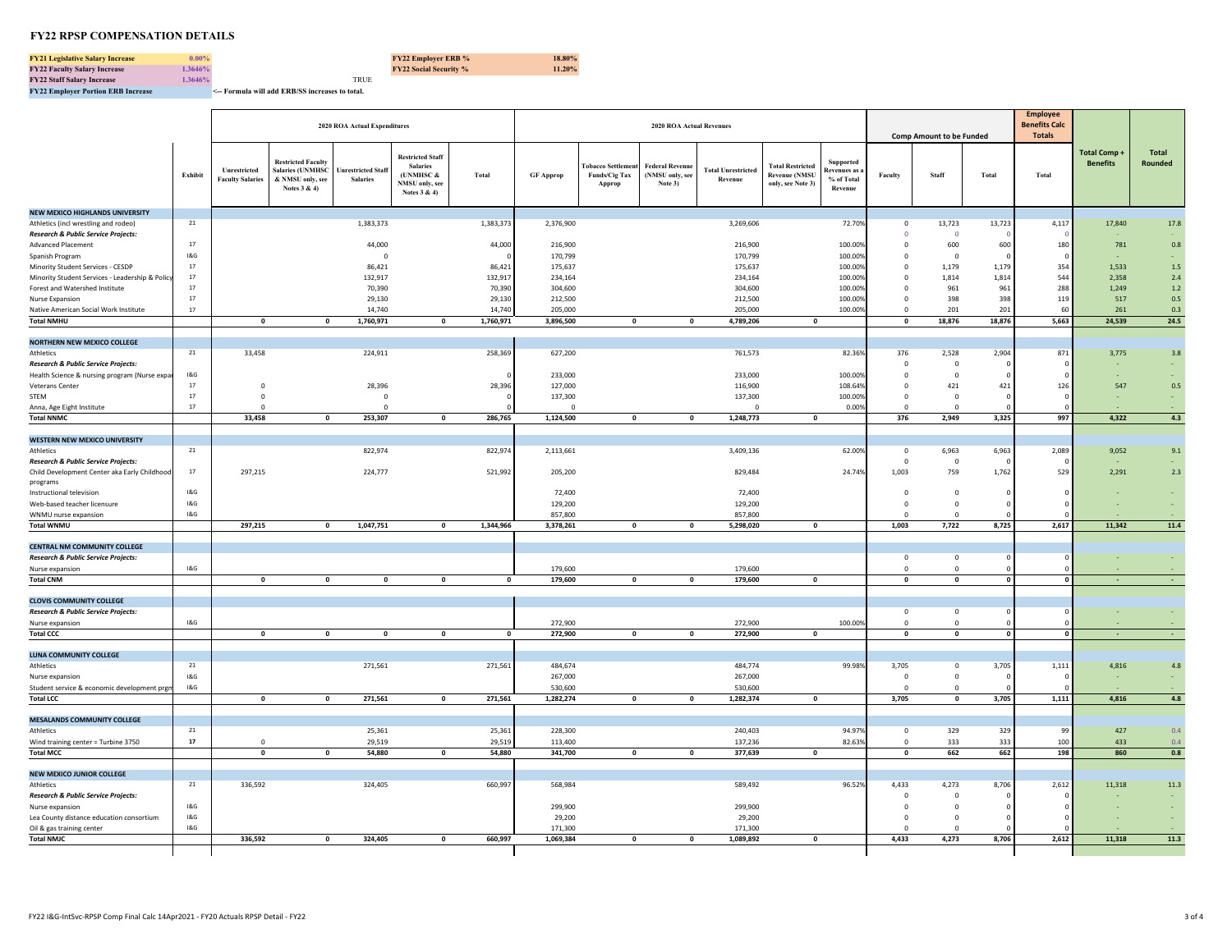**FY21 Legislative Salary Increase 0.00% FY22 Employer ERB % 18.80% FY22 Faculty Salary Increase 1.3646% FY22 Social Security % 11.20% FY22 Staff Salary Increase**<br>**FY22 Employer Portion ERB Increase** 

**FY22 Employer Portion ERB Increase <-- Formula will add ERB/SS increases to total.** 

|                                                                  |                  |                                         |                                                                                          | 2020 ROA Actual Expenditures                 |                                                                                           |                  |                      |                                                    | <b>2020 ROA Actual Revenues</b>               |                                      |                                                                      |                                                          |                         | <b>Comp Amount to be Funded</b>     |             | <b>Employee</b><br><b>Benefits Calc</b><br><b>Totals</b> |                                |                         |
|------------------------------------------------------------------|------------------|-----------------------------------------|------------------------------------------------------------------------------------------|----------------------------------------------|-------------------------------------------------------------------------------------------|------------------|----------------------|----------------------------------------------------|-----------------------------------------------|--------------------------------------|----------------------------------------------------------------------|----------------------------------------------------------|-------------------------|-------------------------------------|-------------|----------------------------------------------------------|--------------------------------|-------------------------|
|                                                                  | Exhibit          | Unrestricted<br><b>Faculty Salaries</b> | <b>Restricted Faculty</b><br><b>Salaries (UNMHSC</b><br>& NMSU only, see<br>Notes 3 & 4) | <b>Unrestricted Staff</b><br><b>Salaries</b> | <b>Restricted Staff</b><br><b>Salaries</b><br>(UNMHSC &<br>NMSU only, see<br>Notes 3 & 4) | Total            | <b>GF Approp</b>     | <b>Fobacco Settleme</b><br>Funds/Cig Tax<br>Approp | Federal Revenue<br>(NMSU only, see<br>Note 3) | <b>Total Unrestricted</b><br>Revenue | <b>Total Restricted</b><br><b>Revenue (NMSU</b><br>only, see Note 3) | Supported<br><b>Revenues</b> as<br>% of Total<br>Revenue | Faculty                 | Staff                               | Total       | Total                                                    | Total Comp+<br><b>Benefits</b> | <b>Total</b><br>Rounded |
| NEW MEXICO HIGHLANDS UNIVERSITY                                  |                  |                                         |                                                                                          |                                              |                                                                                           |                  |                      |                                                    |                                               |                                      |                                                                      |                                                          |                         |                                     |             |                                                          |                                |                         |
| Athletics (incl wrestling and rodeo)                             | 21               |                                         |                                                                                          | 1,383,373                                    |                                                                                           | 1,383,373        | 2,376,900            |                                                    |                                               | 3,269,606                            |                                                                      | 72.70%                                                   | $\mathbf 0$             | 13,723                              | 13,723      | 4,117                                                    | 17,840                         | 17.8                    |
| Research & Public Service Projects:<br><b>Advanced Placement</b> | 17               |                                         |                                                                                          | 44,000                                       |                                                                                           | 44,000           | 216,900              |                                                    |                                               | 216,900                              |                                                                      | 100.00%                                                  | $\circ$<br>$\mathbf 0$  | $\Omega$<br>600                     | 600         | 180                                                      | 781                            | 0.8                     |
| Spanish Program                                                  | 18G              |                                         |                                                                                          | $\Omega$                                     |                                                                                           |                  | 170,799              |                                                    |                                               | 170,799                              |                                                                      | 100.00%                                                  | $\mathbf 0$             | $\Omega$                            |             |                                                          |                                |                         |
| Minority Student Services - CESDP                                | $17\,$           |                                         |                                                                                          | 86,421                                       |                                                                                           | 86,421           | 175,637              |                                                    |                                               | 175,637                              |                                                                      | 100.00%                                                  | $\mathbb O$             | 1,179                               | 1,179       | 354                                                      | 1,533                          | $1.5\,$                 |
| Minority Student Services - Leadership & Policy                  | $17\,$           |                                         |                                                                                          | 132,917                                      |                                                                                           | 132,917          | 234,164              |                                                    |                                               | 234,164                              |                                                                      | 100.00%                                                  | $\mathbf 0$             | 1,814                               | 1,814       | 544                                                      | 2,358                          | 2.4                     |
| Forest and Watershed Institute                                   | 17               |                                         |                                                                                          | 70,390                                       |                                                                                           | 70,390           | 304,600              |                                                    |                                               | 304,600                              |                                                                      | 100.00%                                                  | $^{\circ}$              | 961                                 | 961         | 288                                                      | 1,249                          | $1.2\,$                 |
| Nurse Expansion<br>Native American Social Work Institute         | 17<br>17         |                                         |                                                                                          | 29,130                                       |                                                                                           | 29,130<br>14,740 | 212,500              |                                                    |                                               | 212,500                              |                                                                      | 100.00%<br>100.00%                                       | $\mathbf 0$<br>$\Omega$ | 398<br>201                          | 398<br>201  | 119<br>60                                                | 517<br>261                     | 0.5<br>0.3              |
| <b>Total NMHU</b>                                                |                  | $\mathbf 0$                             | $\mathbf 0$                                                                              | 14,740<br>1,760,971                          | $\mathbf{0}$                                                                              | 1,760,971        | 205,000<br>3,896,500 | $\mathbf 0$                                        | $\mathbf 0$                                   | 205,000<br>4,789,206                 | $\mathbf 0$                                                          |                                                          | $\overline{\mathbf{0}}$ | 18,876                              | 18,876      | 5,663                                                    | 24,539                         | 24.5                    |
|                                                                  |                  |                                         |                                                                                          |                                              |                                                                                           |                  |                      |                                                    |                                               |                                      |                                                                      |                                                          |                         |                                     |             |                                                          |                                |                         |
| NORTHERN NEW MEXICO COLLEGE                                      |                  |                                         |                                                                                          |                                              |                                                                                           |                  |                      |                                                    |                                               |                                      |                                                                      |                                                          |                         |                                     |             |                                                          |                                |                         |
| <b>Athletics</b>                                                 | ${\bf 21}$       | 33,458                                  |                                                                                          | 224,911                                      |                                                                                           | 258,369          | 627,200              |                                                    |                                               | 761,573                              |                                                                      | 82.36%                                                   | 376                     | 2,528                               | 2,904       | 871                                                      | 3,775                          | 3.8                     |
| Research & Public Service Projects:                              |                  |                                         |                                                                                          |                                              |                                                                                           |                  |                      |                                                    |                                               |                                      |                                                                      |                                                          | $\overline{0}$          | $\overline{0}$                      |             |                                                          |                                |                         |
| Health Science & nursing program (Nurse expa                     | $18G$<br>17      | $\Omega$                                |                                                                                          | 28,396                                       |                                                                                           | 28,396           | 233,000<br>127,000   |                                                    |                                               | 233,000<br>116,900                   |                                                                      | 100.00%<br>108.64%                                       | $\mathbb O$<br>$\circ$  | $\overline{0}$<br>421               | 421         | 126                                                      | 547                            | 0.5                     |
| Veterans Center<br>STEM                                          | 17               | $\overline{0}$                          |                                                                                          | $\mathbf 0$                                  |                                                                                           |                  | 137,300              |                                                    |                                               | 137,300                              |                                                                      | 100.009                                                  | $\mathbf 0$             | $\circ$                             |             |                                                          |                                |                         |
| Anna, Age Eight Institute                                        | 17               | $\Omega$                                |                                                                                          | $\Omega$                                     |                                                                                           |                  | $\Omega$             |                                                    |                                               | $\Omega$                             |                                                                      | 0.00%                                                    | $\mathbf 0$             | $\overline{0}$                      |             |                                                          |                                |                         |
| <b>Total NNMC</b>                                                |                  | 33,458                                  | $\mathbf 0$                                                                              | 253,307                                      | $\mathbf{0}$                                                                              | 286,765          | 1,124,500            | $\mathbf{0}$                                       | $\mathbf{0}$                                  | 1,248,773                            | $\mathbf{0}$                                                         |                                                          | 376                     | 2,949                               | 3,325       | 997                                                      | 4,322                          | 4.3                     |
|                                                                  |                  |                                         |                                                                                          |                                              |                                                                                           |                  |                      |                                                    |                                               |                                      |                                                                      |                                                          |                         |                                     |             |                                                          |                                |                         |
| WESTERN NEW MEXICO UNIVERSITY                                    | 21               |                                         |                                                                                          |                                              |                                                                                           |                  |                      |                                                    |                                               |                                      |                                                                      |                                                          |                         |                                     |             |                                                          |                                |                         |
| Athletics<br>Research & Public Service Projects:                 |                  |                                         |                                                                                          | 822,974                                      |                                                                                           | 822,974          | 2,113,661            |                                                    |                                               | 3,409,136                            |                                                                      | 62.00%                                                   | $\,0\,$<br>$\circ$      | 6,963<br>$\overline{0}$             | 6,963       | 2,089                                                    | 9,052                          | 9.1                     |
| Child Development Center aka Early Childhood                     | $17\,$           | 297,215                                 |                                                                                          | 224,777                                      |                                                                                           | 521,992          | 205,200              |                                                    |                                               | 829,484                              |                                                                      | 24.74%                                                   | 1,003                   | 759                                 | 1,762       | 529                                                      | 2,291                          | $2.3\,$                 |
| programs                                                         |                  |                                         |                                                                                          |                                              |                                                                                           |                  |                      |                                                    |                                               |                                      |                                                                      |                                                          |                         |                                     |             |                                                          |                                |                         |
| Instructional television                                         | 18G              |                                         |                                                                                          |                                              |                                                                                           |                  | 72,400               |                                                    |                                               | 72,400                               |                                                                      |                                                          | $\mathbf 0$             | $\overline{0}$                      |             |                                                          |                                |                         |
| Web-based teacher licensure                                      | 18G              |                                         |                                                                                          |                                              |                                                                                           |                  | 129,200              |                                                    |                                               | 129,200                              |                                                                      |                                                          | $\Omega$<br>$\Omega$    | $\circ$<br>$\Omega$                 |             |                                                          |                                |                         |
| WNMU nurse expansion<br><b>Total WNMU</b>                        | 18G              | 297,215                                 | $\mathbf 0$                                                                              | 1,047,751                                    | $\mathbf{0}$                                                                              | 1,344,966        | 857,800<br>3,378,261 | $\mathbf 0$                                        | $\mathbf 0$                                   | 857,800<br>5,298,020                 | $\mathbf{0}$                                                         |                                                          | 1,003                   | 7,722                               | 8,725       | 2,617                                                    | 11,342                         | 11.4                    |
|                                                                  |                  |                                         |                                                                                          |                                              |                                                                                           |                  |                      |                                                    |                                               |                                      |                                                                      |                                                          |                         |                                     |             |                                                          |                                |                         |
| <b>CENTRAL NM COMMUNITY COLLEGE</b>                              |                  |                                         |                                                                                          |                                              |                                                                                           |                  |                      |                                                    |                                               |                                      |                                                                      |                                                          |                         |                                     |             |                                                          |                                |                         |
| Research & Public Service Projects:                              |                  |                                         |                                                                                          |                                              |                                                                                           |                  |                      |                                                    |                                               |                                      |                                                                      |                                                          | $\overline{0}$          | $\overline{0}$                      |             |                                                          |                                |                         |
| Nurse expansion                                                  | 18G              | $\Omega$                                |                                                                                          |                                              |                                                                                           |                  | 179,600              |                                                    |                                               | 179,600                              |                                                                      |                                                          | $\mathbf 0$             | $\circ$<br>$\overline{\phantom{a}}$ |             | $\sqrt{2}$                                               |                                |                         |
| <b>Total CNM</b>                                                 |                  |                                         | $\mathbf 0$                                                                              | $\mathbf 0$                                  | $\mathbf{0}$                                                                              | $\mathbf 0$      | 179,600              | $\mathbf 0$                                        | $\mathbf 0$                                   | 179,600                              | $\mathbf{0}$                                                         |                                                          | $\mathbf 0$             |                                     |             |                                                          |                                |                         |
| <b>CLOVIS COMMUNITY COLLEGE</b>                                  |                  |                                         |                                                                                          |                                              |                                                                                           |                  |                      |                                                    |                                               |                                      |                                                                      |                                                          |                         |                                     |             |                                                          |                                |                         |
| Research & Public Service Projects:                              |                  |                                         |                                                                                          |                                              |                                                                                           |                  |                      |                                                    |                                               |                                      |                                                                      |                                                          | $\circ$                 | $\overline{0}$                      |             |                                                          |                                |                         |
| Nurse expansion                                                  | 18G              |                                         |                                                                                          |                                              |                                                                                           |                  | 272,900              |                                                    |                                               | 272,900                              |                                                                      | 100.00                                                   | $\circ$                 | $\circ$                             |             |                                                          |                                |                         |
| <b>Total CCC</b>                                                 |                  | $\mathbf 0$                             | $\mathbf 0$                                                                              | $\mathbf 0$                                  | $\mathbf 0$                                                                               | $\mathbf 0$      | 272,900              | $\pmb{\mathsf{o}}$                                 | $\mathbf 0$                                   | 272,900                              | $\mathbf 0$                                                          |                                                          | $\mathbf 0$             | $\mathbf 0$                         | $\mathbf 0$ | $\sqrt{2}$                                               |                                |                         |
| LUNA COMMUNITY COLLEGE                                           |                  |                                         |                                                                                          |                                              |                                                                                           |                  |                      |                                                    |                                               |                                      |                                                                      |                                                          |                         |                                     |             |                                                          |                                |                         |
| Athletics                                                        | 21               |                                         |                                                                                          | 271,561                                      |                                                                                           | 271,561          | 484,674              |                                                    |                                               | 484,774                              |                                                                      | 99.98                                                    | 3,705                   | $\circ$                             | 3,70        | 1,111                                                    | 4,816                          | 4.8                     |
| Nurse expansion                                                  | 1&G              |                                         |                                                                                          |                                              |                                                                                           |                  | 267,000              |                                                    |                                               | 267,000                              |                                                                      |                                                          | $\overline{0}$          | $\overline{0}$                      |             |                                                          |                                |                         |
| Student service & economic development prgn                      | 18G              |                                         |                                                                                          |                                              |                                                                                           |                  | 530,600              |                                                    |                                               | 530,600                              |                                                                      |                                                          | $^{\circ}$              | $\Omega$                            |             |                                                          |                                |                         |
| <b>Total LCC</b>                                                 |                  | $\mathbf{o}$                            | $\mathbf 0$                                                                              | 271,561                                      | $\mathbf 0$                                                                               | 271,561          | 1,282,274            | $\mathbf{0}$                                       | $\mathbf 0$                                   | 1,282,374                            | $\mathbf 0$                                                          |                                                          | 3,705                   | $\overline{\mathbf{0}}$             | 3,705       | 1,111                                                    | 4,816                          | 4.8                     |
| <b>MESALANDS COMMUNITY COLLEGE</b>                               |                  |                                         |                                                                                          |                                              |                                                                                           |                  |                      |                                                    |                                               |                                      |                                                                      |                                                          |                         |                                     |             |                                                          |                                |                         |
| Athletics                                                        | 21               |                                         |                                                                                          | 25,361                                       |                                                                                           | 25,361           | 228,300              |                                                    |                                               | 240,403                              |                                                                      | 94.979                                                   | $\,0\,$                 | 329                                 | 329         | 99                                                       | 427                            | 0.4                     |
| Wind training center = Turbine 3750                              | ${\bf 17}$       | $\Omega$                                |                                                                                          | 29,519                                       |                                                                                           | 29,519           | 113,400              |                                                    |                                               | 137,236                              |                                                                      | 82.63%                                                   | $\mathbb O$             | 333                                 | 333         | 100                                                      | 433                            | 0.4                     |
| <b>Total MCC</b>                                                 |                  | $\mathbf{0}$                            | $\Omega$                                                                                 | 54,880                                       | $\mathbf{0}$                                                                              | 54,880           | 341,700              | $\mathbf 0$                                        | $\mathbf{0}$                                  | 377,639                              | $\mathbf{0}$                                                         |                                                          | $\mathbf{0}$            | 662                                 | 662         | 198                                                      | 860                            | 0.8                     |
|                                                                  |                  |                                         |                                                                                          |                                              |                                                                                           |                  |                      |                                                    |                                               |                                      |                                                                      |                                                          |                         |                                     |             |                                                          |                                |                         |
| <b>NEW MEXICO JUNIOR COLLEGE</b><br>Athletics                    | 21               | 336,592                                 |                                                                                          | 324,405                                      |                                                                                           | 660,997          | 568,984              |                                                    |                                               | 589,492                              |                                                                      | 96.52%                                                   | 4,433                   | 4,273                               | 8,706       | 2,612                                                    | 11,318                         | $11.3\,$                |
| Research & Public Service Projects:                              |                  |                                         |                                                                                          |                                              |                                                                                           |                  |                      |                                                    |                                               |                                      |                                                                      |                                                          | $\overline{0}$          | $\overline{0}$                      |             |                                                          |                                |                         |
| Nurse expansion                                                  | 18G              |                                         |                                                                                          |                                              |                                                                                           |                  | 299,900              |                                                    |                                               | 299,900                              |                                                                      |                                                          | $\mathbf 0$             | $\circ$                             |             |                                                          |                                |                         |
| Lea County distance education consortium                         | $18\,\mathrm{G}$ |                                         |                                                                                          |                                              |                                                                                           |                  | 29,200               |                                                    |                                               | 29,200                               |                                                                      |                                                          | $\mathbf 0$             | $\overline{0}$                      |             |                                                          |                                |                         |
| Oil & gas training center                                        | 18G              |                                         |                                                                                          |                                              |                                                                                           |                  | 171,300              |                                                    |                                               | 171,300                              |                                                                      |                                                          | $\overline{0}$          | $\mathbf{0}$                        |             |                                                          |                                |                         |
| <b>Total NMJC</b>                                                |                  | 336.592                                 | $\mathbf{0}$                                                                             | 324,405                                      | $\Omega$                                                                                  | 660.997          | 1.069.384            | $\mathbf{0}$                                       | $\mathbf{0}$                                  | 1.089.892                            | $\Omega$                                                             |                                                          | 4.433                   | 4.273                               | 8.706       | 2.612                                                    | 11.318                         | 11.3                    |

 $\mathbf{I}$ 

Γ